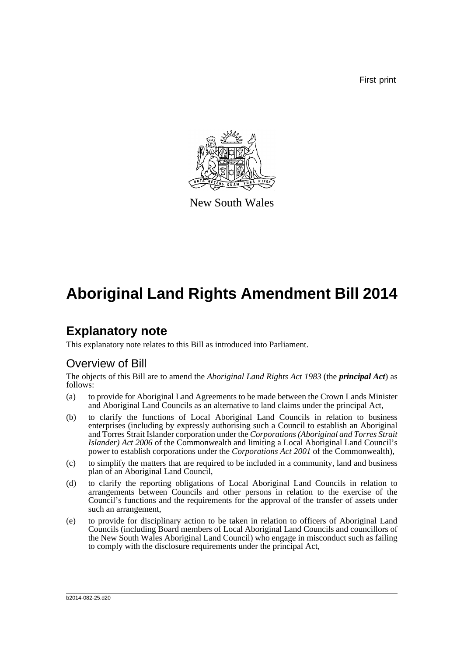First print



New South Wales

# **Aboriginal Land Rights Amendment Bill 2014**

## **Explanatory note**

This explanatory note relates to this Bill as introduced into Parliament.

## Overview of Bill

The objects of this Bill are to amend the *Aboriginal Land Rights Act 1983* (the *principal Act*) as follows:

- (a) to provide for Aboriginal Land Agreements to be made between the Crown Lands Minister and Aboriginal Land Councils as an alternative to land claims under the principal Act,
- (b) to clarify the functions of Local Aboriginal Land Councils in relation to business enterprises (including by expressly authorising such a Council to establish an Aboriginal and Torres Strait Islander corporation under the *Corporations (Aboriginal and Torres Strait Islander) Act 2006* of the Commonwealth and limiting a Local Aboriginal Land Council's power to establish corporations under the *Corporations Act 2001* of the Commonwealth),
- (c) to simplify the matters that are required to be included in a community, land and business plan of an Aboriginal Land Council,
- (d) to clarify the reporting obligations of Local Aboriginal Land Councils in relation to arrangements between Councils and other persons in relation to the exercise of the Council's functions and the requirements for the approval of the transfer of assets under such an arrangement,
- (e) to provide for disciplinary action to be taken in relation to officers of Aboriginal Land Councils (including Board members of Local Aboriginal Land Councils and councillors of the New South Wales Aboriginal Land Council) who engage in misconduct such as failing to comply with the disclosure requirements under the principal Act,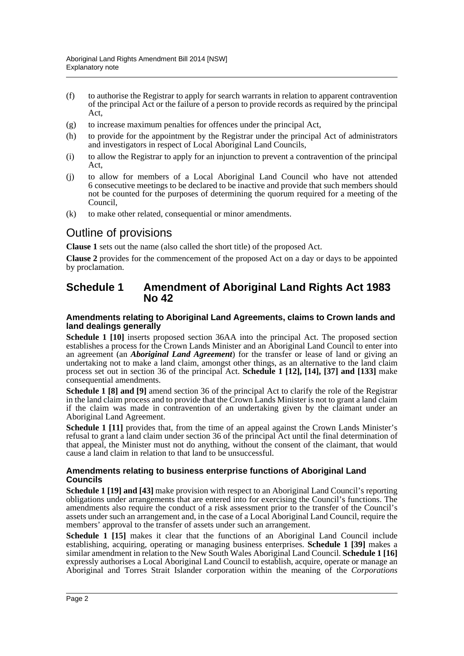- (f) to authorise the Registrar to apply for search warrants in relation to apparent contravention of the principal Act or the failure of a person to provide records as required by the principal Act,
- (g) to increase maximum penalties for offences under the principal Act,
- (h) to provide for the appointment by the Registrar under the principal Act of administrators and investigators in respect of Local Aboriginal Land Councils,
- (i) to allow the Registrar to apply for an injunction to prevent a contravention of the principal Act,
- (j) to allow for members of a Local Aboriginal Land Council who have not attended 6 consecutive meetings to be declared to be inactive and provide that such members should not be counted for the purposes of determining the quorum required for a meeting of the Council,
- (k) to make other related, consequential or minor amendments.

### Outline of provisions

**Clause 1** sets out the name (also called the short title) of the proposed Act.

**Clause 2** provides for the commencement of the proposed Act on a day or days to be appointed by proclamation.

### **Schedule 1 Amendment of Aboriginal Land Rights Act 1983 No 42**

#### **Amendments relating to Aboriginal Land Agreements, claims to Crown lands and land dealings generally**

**Schedule 1 [10]** inserts proposed section 36AA into the principal Act. The proposed section establishes a process for the Crown Lands Minister and an Aboriginal Land Council to enter into an agreement (an *Aboriginal Land Agreement*) for the transfer or lease of land or giving an undertaking not to make a land claim, amongst other things, as an alternative to the land claim process set out in section 36 of the principal Act. **Schedule 1 [12], [14], [37] and [133]** make consequential amendments.

**Schedule 1 [8] and [9]** amend section 36 of the principal Act to clarify the role of the Registrar in the land claim process and to provide that the Crown Lands Minister is not to grant a land claim if the claim was made in contravention of an undertaking given by the claimant under an Aboriginal Land Agreement.

**Schedule 1** [11] provides that, from the time of an appeal against the Crown Lands Minister's refusal to grant a land claim under section 36 of the principal Act until the final determination of that appeal, the Minister must not do anything, without the consent of the claimant, that would cause a land claim in relation to that land to be unsuccessful.

#### **Amendments relating to business enterprise functions of Aboriginal Land Councils**

**Schedule 1 [19] and [43]** make provision with respect to an Aboriginal Land Council's reporting obligations under arrangements that are entered into for exercising the Council's functions. The amendments also require the conduct of a risk assessment prior to the transfer of the Council's assets under such an arrangement and, in the case of a Local Aboriginal Land Council, require the members' approval to the transfer of assets under such an arrangement.

**Schedule 1 [15]** makes it clear that the functions of an Aboriginal Land Council include establishing, acquiring, operating or managing business enterprises. **Schedule 1 [39]** makes a similar amendment in relation to the New South Wales Aboriginal Land Council. **Schedule 1 [16]** expressly authorises a Local Aboriginal Land Council to establish, acquire, operate or manage an Aboriginal and Torres Strait Islander corporation within the meaning of the *Corporations*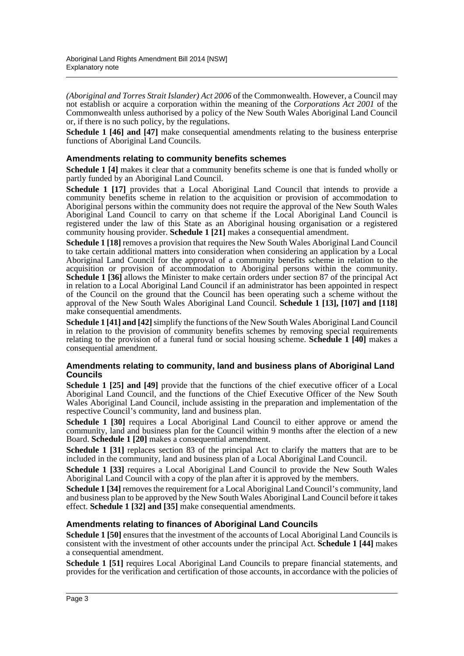*(Aboriginal and Torres Strait Islander) Act 2006* of the Commonwealth. However, a Council may not establish or acquire a corporation within the meaning of the *Corporations Act 2001* of the Commonwealth unless authorised by a policy of the New South Wales Aboriginal Land Council or, if there is no such policy, by the regulations.

**Schedule 1 [46] and [47]** make consequential amendments relating to the business enterprise functions of Aboriginal Land Councils.

#### **Amendments relating to community benefits schemes**

**Schedule 1 [4]** makes it clear that a community benefits scheme is one that is funded wholly or partly funded by an Aboriginal Land Council.

**Schedule 1 [17]** provides that a Local Aboriginal Land Council that intends to provide a community benefits scheme in relation to the acquisition or provision of accommodation to Aboriginal persons within the community does not require the approval of the New South Wales Aboriginal Land Council to carry on that scheme if the Local Aboriginal Land Council is registered under the law of this State as an Aboriginal housing organisation or a registered community housing provider. **Schedule 1 [21]** makes a consequential amendment.

**Schedule 1 [18]** removes a provision that requires the New South Wales Aboriginal Land Council to take certain additional matters into consideration when considering an application by a Local Aboriginal Land Council for the approval of a community benefits scheme in relation to the acquisition or provision of accommodation to Aboriginal persons within the community. **Schedule 1 [36]** allows the Minister to make certain orders under section 87 of the principal Act in relation to a Local Aboriginal Land Council if an administrator has been appointed in respect of the Council on the ground that the Council has been operating such a scheme without the approval of the New South Wales Aboriginal Land Council. **Schedule 1 [13], [107] and [118]** make consequential amendments.

**Schedule 1 [41] and [42]** simplify the functions of the New South Wales Aboriginal Land Council in relation to the provision of community benefits schemes by removing special requirements relating to the provision of a funeral fund or social housing scheme. **Schedule 1 [40]** makes a consequential amendment.

#### **Amendments relating to community, land and business plans of Aboriginal Land Councils**

**Schedule 1 [25] and [49]** provide that the functions of the chief executive officer of a Local Aboriginal Land Council, and the functions of the Chief Executive Officer of the New South Wales Aboriginal Land Council, include assisting in the preparation and implementation of the respective Council's community, land and business plan.

**Schedule 1 [30]** requires a Local Aboriginal Land Council to either approve or amend the community, land and business plan for the Council within 9 months after the election of a new Board. **Schedule 1 [20]** makes a consequential amendment.

**Schedule 1 [31]** replaces section 83 of the principal Act to clarify the matters that are to be included in the community, land and business plan of a Local Aboriginal Land Council.

**Schedule 1 [33]** requires a Local Aboriginal Land Council to provide the New South Wales Aboriginal Land Council with a copy of the plan after it is approved by the members.

**Schedule 1 [34]** removes the requirement for a Local Aboriginal Land Council's community, land and business plan to be approved by the New South Wales Aboriginal Land Council before it takes effect. **Schedule 1 [32] and [35]** make consequential amendments.

#### **Amendments relating to finances of Aboriginal Land Councils**

**Schedule 1 [50]** ensures that the investment of the accounts of Local Aboriginal Land Councils is consistent with the investment of other accounts under the principal Act. **Schedule 1 [44]** makes a consequential amendment.

**Schedule 1 [51]** requires Local Aboriginal Land Councils to prepare financial statements, and provides for the verification and certification of those accounts, in accordance with the policies of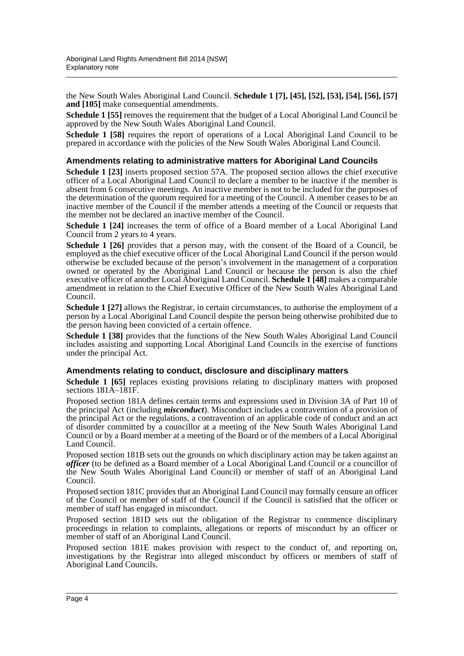the New South Wales Aboriginal Land Council. **Schedule 1 [7], [45], [52], [53], [54], [56], [57] and [105]** make consequential amendments.

**Schedule 1 [55]** removes the requirement that the budget of a Local Aboriginal Land Council be approved by the New South Wales Aboriginal Land Council.

**Schedule 1 [58]** requires the report of operations of a Local Aboriginal Land Council to be prepared in accordance with the policies of the New South Wales Aboriginal Land Council.

#### **Amendments relating to administrative matters for Aboriginal Land Councils**

**Schedule 1 [23]** inserts proposed section 57A. The proposed section allows the chief executive officer of a Local Aboriginal Land Council to declare a member to be inactive if the member is absent from 6 consecutive meetings. An inactive member is not to be included for the purposes of the determination of the quorum required for a meeting of the Council. A member ceases to be an inactive member of the Council if the member attends a meeting of the Council or requests that the member not be declared an inactive member of the Council.

**Schedule 1 [24]** increases the term of office of a Board member of a Local Aboriginal Land Council from 2 years to 4 years.

**Schedule 1 [26]** provides that a person may, with the consent of the Board of a Council, be employed as the chief executive officer of the Local Aboriginal Land Council if the person would otherwise be excluded because of the person's involvement in the management of a corporation owned or operated by the Aboriginal Land Council or because the person is also the chief executive officer of another Local Aboriginal Land Council. **Schedule 1 [48]** makes a comparable amendment in relation to the Chief Executive Officer of the New South Wales Aboriginal Land Council.

**Schedule 1 [27]** allows the Registrar, in certain circumstances, to authorise the employment of a person by a Local Aboriginal Land Council despite the person being otherwise prohibited due to the person having been convicted of a certain offence.

**Schedule 1 [38]** provides that the functions of the New South Wales Aboriginal Land Council includes assisting and supporting Local Aboriginal Land Councils in the exercise of functions under the principal Act.

#### **Amendments relating to conduct, disclosure and disciplinary matters**

**Schedule 1 [65]** replaces existing provisions relating to disciplinary matters with proposed sections 181A–181F.

Proposed section 181A defines certain terms and expressions used in Division 3A of Part 10 of the principal Act (including *misconduct*). Misconduct includes a contravention of a provision of the principal Act or the regulations, a contravention of an applicable code of conduct and an act of disorder committed by a councillor at a meeting of the New South Wales Aboriginal Land Council or by a Board member at a meeting of the Board or of the members of a Local Aboriginal Land Council.

Proposed section 181B sets out the grounds on which disciplinary action may be taken against an *officer* (to be defined as a Board member of a Local Aboriginal Land Council or a councillor of the New South Wales Aboriginal Land Council) or member of staff of an Aboriginal Land Council.

Proposed section 181C provides that an Aboriginal Land Council may formally censure an officer of the Council or member of staff of the Council if the Council is satisfied that the officer or member of staff has engaged in misconduct.

Proposed section 181D sets out the obligation of the Registrar to commence disciplinary proceedings in relation to complaints, allegations or reports of misconduct by an officer or member of staff of an Aboriginal Land Council.

Proposed section 181E makes provision with respect to the conduct of, and reporting on, investigations by the Registrar into alleged misconduct by officers or members of staff of Aboriginal Land Councils.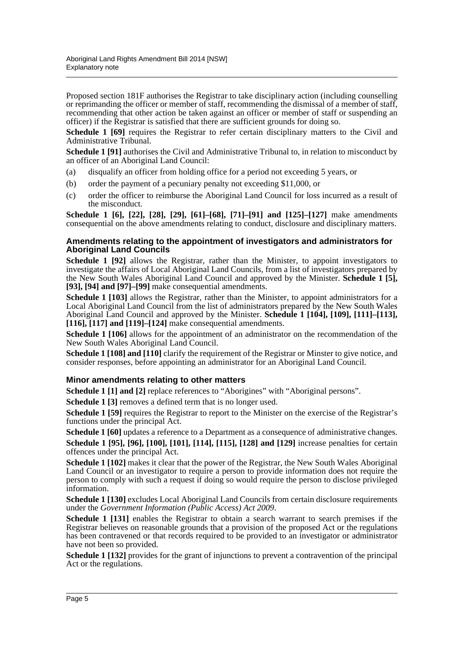Proposed section 181F authorises the Registrar to take disciplinary action (including counselling or reprimanding the officer or member of staff, recommending the dismissal of a member of staff, recommending that other action be taken against an officer or member of staff or suspending an officer) if the Registrar is satisfied that there are sufficient grounds for doing so.

**Schedule 1 [69]** requires the Registrar to refer certain disciplinary matters to the Civil and Administrative Tribunal.

**Schedule 1 [91]** authorises the Civil and Administrative Tribunal to, in relation to misconduct by an officer of an Aboriginal Land Council:

- (a) disqualify an officer from holding office for a period not exceeding 5 years, or
- (b) order the payment of a pecuniary penalty not exceeding \$11,000, or
- (c) order the officer to reimburse the Aboriginal Land Council for loss incurred as a result of the misconduct.

**Schedule 1 [6], [22], [28], [29], [61]–[68], [71]–[91] and [125]–[127]** make amendments consequential on the above amendments relating to conduct, disclosure and disciplinary matters.

#### **Amendments relating to the appointment of investigators and administrators for Aboriginal Land Councils**

**Schedule 1 [92]** allows the Registrar, rather than the Minister, to appoint investigators to investigate the affairs of Local Aboriginal Land Councils, from a list of investigators prepared by the New South Wales Aboriginal Land Council and approved by the Minister. **Schedule 1 [5], [93], [94] and [97]–[99]** make consequential amendments.

**Schedule 1 [103]** allows the Registrar, rather than the Minister, to appoint administrators for a Local Aboriginal Land Council from the list of administrators prepared by the New South Wales Aboriginal Land Council and approved by the Minister. **Schedule 1 [104], [109], [111]–[113], [116], [117] and [119]–[124]** make consequential amendments.

**Schedule 1 [106]** allows for the appointment of an administrator on the recommendation of the New South Wales Aboriginal Land Council.

**Schedule 1 [108] and [110]** clarify the requirement of the Registrar or Minster to give notice, and consider responses, before appointing an administrator for an Aboriginal Land Council.

#### **Minor amendments relating to other matters**

**Schedule 1 [1] and [2]** replace references to "Aborigines" with "Aboriginal persons".

**Schedule 1 [3]** removes a defined term that is no longer used.

**Schedule 1 [59]** requires the Registrar to report to the Minister on the exercise of the Registrar's functions under the principal Act.

**Schedule 1 [60]** updates a reference to a Department as a consequence of administrative changes.

**Schedule 1 [95], [96], [100], [101], [114], [115], [128] and [129]** increase penalties for certain offences under the principal Act.

**Schedule 1 [102]** makes it clear that the power of the Registrar, the New South Wales Aboriginal Land Council or an investigator to require a person to provide information does not require the person to comply with such a request if doing so would require the person to disclose privileged information.

**Schedule 1 [130]** excludes Local Aboriginal Land Councils from certain disclosure requirements under the *Government Information (Public Access) Act 2009*.

**Schedule 1 [131]** enables the Registrar to obtain a search warrant to search premises if the Registrar believes on reasonable grounds that a provision of the proposed Act or the regulations has been contravened or that records required to be provided to an investigator or administrator have not been so provided.

**Schedule 1 [132]** provides for the grant of injunctions to prevent a contravention of the principal Act or the regulations.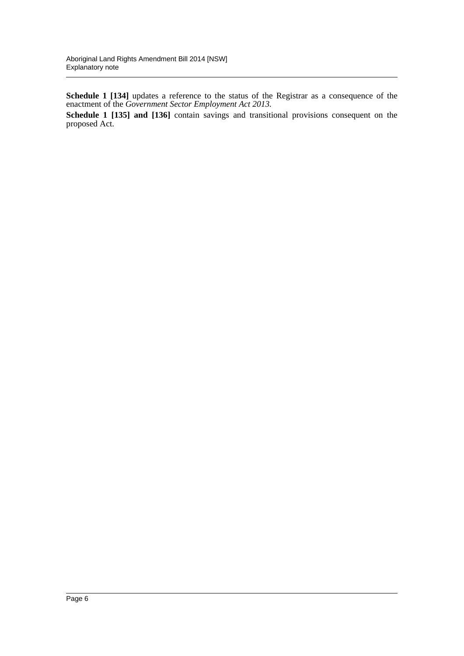**Schedule 1 [134]** updates a reference to the status of the Registrar as a consequence of the enactment of the *Government Sector Employment Act 2013.*

**Schedule 1 [135] and [136]** contain savings and transitional provisions consequent on the proposed Act.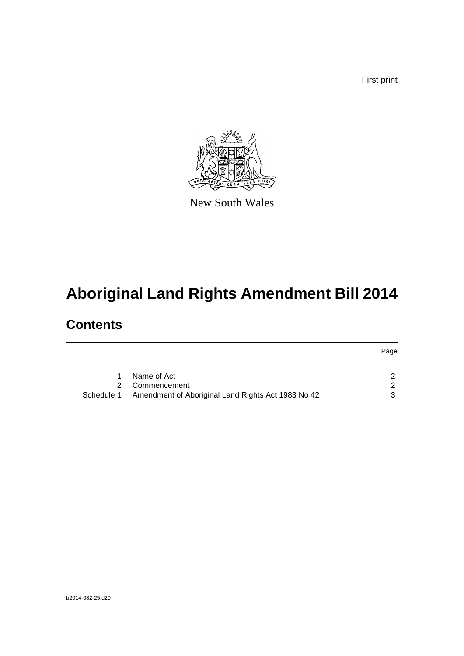First print



New South Wales

# **Aboriginal Land Rights Amendment Bill 2014**

## **Contents**

|            |                                                    | Page          |
|------------|----------------------------------------------------|---------------|
|            | Name of Act                                        | $\mathcal{D}$ |
|            | 2 Commencement                                     | - 2           |
| Schedule 1 | Amendment of Aboriginal Land Rights Act 1983 No 42 | 3             |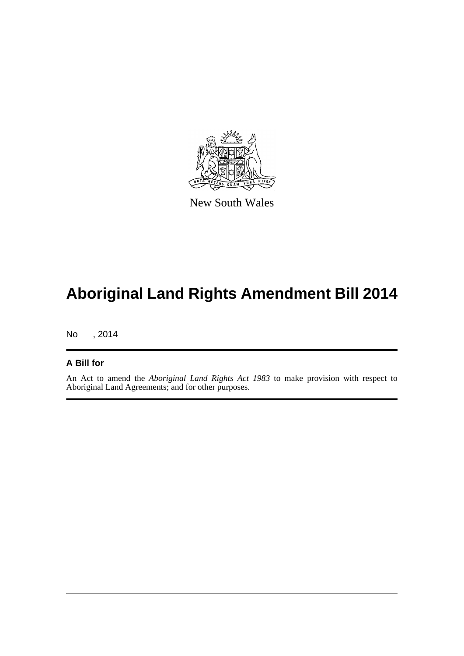

New South Wales

# **Aboriginal Land Rights Amendment Bill 2014**

No , 2014

#### **A Bill for**

An Act to amend the *Aboriginal Land Rights Act 1983* to make provision with respect to Aboriginal Land Agreements; and for other purposes.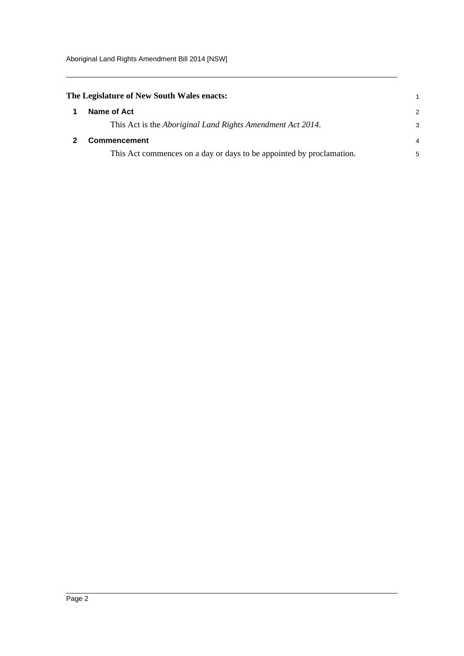<span id="page-8-1"></span><span id="page-8-0"></span>

| The Legislature of New South Wales enacts:                           |               |  |  |
|----------------------------------------------------------------------|---------------|--|--|
| Name of Act                                                          | $\mathcal{P}$ |  |  |
| This Act is the <i>Aboriginal Land Rights Amendment Act 2014</i> .   | 3             |  |  |
| Commencement                                                         | 4             |  |  |
| This Act commences on a day or days to be appointed by proclamation. | 5             |  |  |
|                                                                      |               |  |  |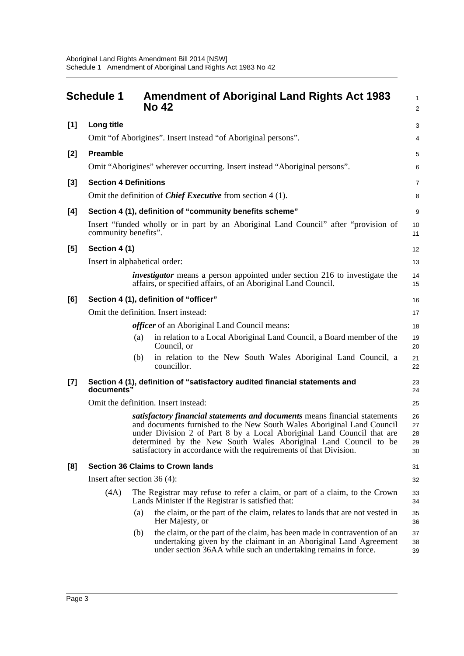<span id="page-9-0"></span>

|       | <b>Schedule 1</b>              |     | <b>Amendment of Aboriginal Land Rights Act 1983</b><br><b>No 42</b>                                                                                                                                                                                                                                                                                                     | 1<br>$\overline{a}$        |
|-------|--------------------------------|-----|-------------------------------------------------------------------------------------------------------------------------------------------------------------------------------------------------------------------------------------------------------------------------------------------------------------------------------------------------------------------------|----------------------------|
| [1]   | Long title                     |     |                                                                                                                                                                                                                                                                                                                                                                         | 3                          |
|       |                                |     | Omit "of Aborigines". Insert instead "of Aboriginal persons".                                                                                                                                                                                                                                                                                                           | 4                          |
| $[2]$ | <b>Preamble</b>                |     |                                                                                                                                                                                                                                                                                                                                                                         | 5                          |
|       |                                |     | Omit "Aborigines" wherever occurring. Insert instead "Aboriginal persons".                                                                                                                                                                                                                                                                                              | 6                          |
| $[3]$ | <b>Section 4 Definitions</b>   |     |                                                                                                                                                                                                                                                                                                                                                                         | 7                          |
|       |                                |     | Omit the definition of <i>Chief Executive</i> from section $4(1)$ .                                                                                                                                                                                                                                                                                                     | 8                          |
| [4]   |                                |     | Section 4 (1), definition of "community benefits scheme"                                                                                                                                                                                                                                                                                                                | 9                          |
|       | community benefits".           |     | Insert "funded wholly or in part by an Aboriginal Land Council" after "provision of                                                                                                                                                                                                                                                                                     | 10<br>11                   |
| [5]   | Section 4 (1)                  |     |                                                                                                                                                                                                                                                                                                                                                                         | 12                         |
|       | Insert in alphabetical order:  |     |                                                                                                                                                                                                                                                                                                                                                                         | 13                         |
|       |                                |     | <i>investigator</i> means a person appointed under section 216 to investigate the<br>affairs, or specified affairs, of an Aboriginal Land Council.                                                                                                                                                                                                                      | 14<br>15                   |
| [6]   |                                |     | Section 4 (1), definition of "officer"                                                                                                                                                                                                                                                                                                                                  | 16                         |
|       |                                |     | Omit the definition. Insert instead:                                                                                                                                                                                                                                                                                                                                    | 17                         |
|       |                                |     | <i>officer</i> of an Aboriginal Land Council means:                                                                                                                                                                                                                                                                                                                     | 18                         |
|       |                                | (a) | in relation to a Local Aboriginal Land Council, a Board member of the<br>Council, or                                                                                                                                                                                                                                                                                    | 19<br>20                   |
|       |                                | (b) | in relation to the New South Wales Aboriginal Land Council, a<br>councillor.                                                                                                                                                                                                                                                                                            | 21<br>22                   |
| $[7]$ | documents"                     |     | Section 4 (1), definition of "satisfactory audited financial statements and                                                                                                                                                                                                                                                                                             | 23<br>24                   |
|       |                                |     | Omit the definition. Insert instead:                                                                                                                                                                                                                                                                                                                                    | 25                         |
|       |                                |     | satisfactory financial statements and documents means financial statements<br>and documents furnished to the New South Wales Aboriginal Land Council<br>under Division 2 of Part 8 by a Local Aboriginal Land Council that are<br>determined by the New South Wales Aboriginal Land Council to be<br>satisfactory in accordance with the requirements of that Division. | 26<br>27<br>28<br>29<br>30 |
| [8]   |                                |     | <b>Section 36 Claims to Crown lands</b>                                                                                                                                                                                                                                                                                                                                 | 31                         |
|       | Insert after section $36(4)$ : |     |                                                                                                                                                                                                                                                                                                                                                                         | 32                         |
|       | (4A)                           |     | The Registrar may refuse to refer a claim, or part of a claim, to the Crown<br>Lands Minister if the Registrar is satisfied that:                                                                                                                                                                                                                                       | 33<br>34                   |
|       |                                | (a) | the claim, or the part of the claim, relates to lands that are not vested in<br>Her Majesty, or                                                                                                                                                                                                                                                                         | 35<br>36                   |
|       |                                | (b) | the claim, or the part of the claim, has been made in contravention of an<br>undertaking given by the claimant in an Aboriginal Land Agreement<br>under section 36AA while such an undertaking remains in force.                                                                                                                                                        | 37<br>38<br>39             |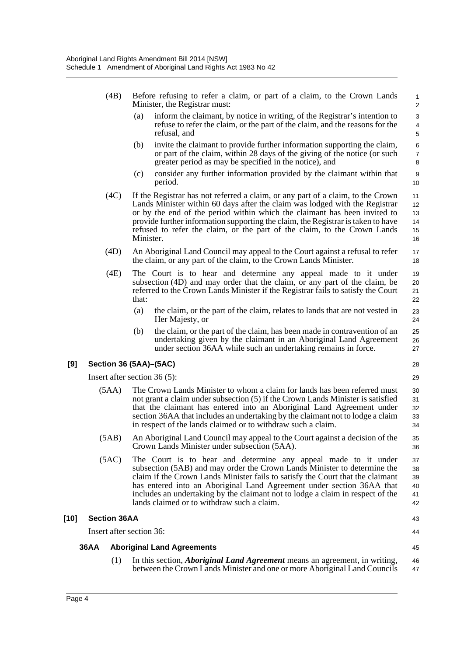- (4B) Before refusing to refer a claim, or part of a claim, to the Crown Lands Minister, the Registrar must:
	- (a) inform the claimant, by notice in writing, of the Registrar's intention to refuse to refer the claim, or the part of the claim, and the reasons for the refusal, and

35 36

43 44

45

- (b) invite the claimant to provide further information supporting the claim, or part of the claim, within 28 days of the giving of the notice (or such greater period as may be specified in the notice), and
- (c) consider any further information provided by the claimant within that period.
- (4C) If the Registrar has not referred a claim, or any part of a claim, to the Crown Lands Minister within 60 days after the claim was lodged with the Registrar or by the end of the period within which the claimant has been invited to provide further information supporting the claim, the Registrar is taken to have refused to refer the claim, or the part of the claim, to the Crown Lands Minister.
- (4D) An Aboriginal Land Council may appeal to the Court against a refusal to refer the claim, or any part of the claim, to the Crown Lands Minister.
- (4E) The Court is to hear and determine any appeal made to it under subsection (4D) and may order that the claim, or any part of the claim, be referred to the Crown Lands Minister if the Registrar fails to satisfy the Court that: 19 20 21 22
	- (a) the claim, or the part of the claim, relates to lands that are not vested in Her Majesty, or
	- (b) the claim, or the part of the claim, has been made in contravention of an undertaking given by the claimant in an Aboriginal Land Agreement under section 36AA while such an undertaking remains in force.

#### **[9] Section 36 (5AA)–(5AC)**

Insert after section 36 (5):

- (5AA) The Crown Lands Minister to whom a claim for lands has been referred must not grant a claim under subsection (5) if the Crown Lands Minister is satisfied that the claimant has entered into an Aboriginal Land Agreement under section 36AA that includes an undertaking by the claimant not to lodge a claim in respect of the lands claimed or to withdraw such a claim. 30 31 32 33 34
- (5AB) An Aboriginal Land Council may appeal to the Court against a decision of the Crown Lands Minister under subsection (5AA).
- (5AC) The Court is to hear and determine any appeal made to it under subsection (5AB) and may order the Crown Lands Minister to determine the claim if the Crown Lands Minister fails to satisfy the Court that the claimant has entered into an Aboriginal Land Agreement under section 36AA that includes an undertaking by the claimant not to lodge a claim in respect of the lands claimed or to withdraw such a claim. 37 38 39 40 41 42

#### **[10] Section 36AA**

Insert after section 36:

#### **36AA Aboriginal Land Agreements**

(1) In this section, *Aboriginal Land Agreement* means an agreement, in writing, between the Crown Lands Minister and one or more Aboriginal Land Councils 46 47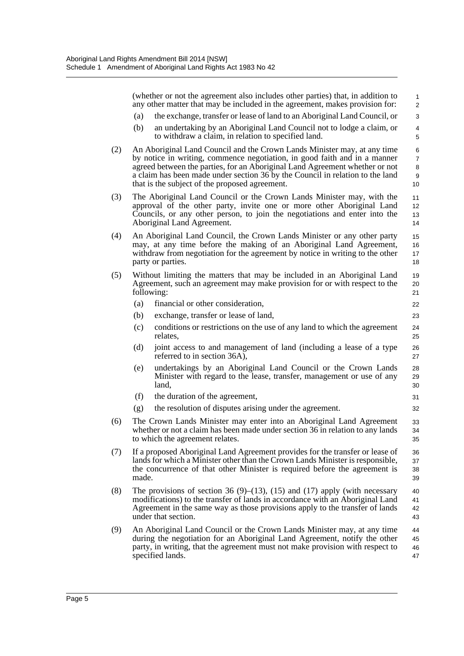(whether or not the agreement also includes other parties) that, in addition to any other matter that may be included in the agreement, makes provision for: (a) the exchange, transfer or lease of land to an Aboriginal Land Council, or (b) an undertaking by an Aboriginal Land Council not to lodge a claim, or to withdraw a claim, in relation to specified land. (2) An Aboriginal Land Council and the Crown Lands Minister may, at any time by notice in writing, commence negotiation, in good faith and in a manner agreed between the parties, for an Aboriginal Land Agreement whether or not a claim has been made under section 36 by the Council in relation to the land that is the subject of the proposed agreement. (3) The Aboriginal Land Council or the Crown Lands Minister may, with the approval of the other party, invite one or more other Aboriginal Land Councils, or any other person, to join the negotiations and enter into the Aboriginal Land Agreement. (4) An Aboriginal Land Council, the Crown Lands Minister or any other party may, at any time before the making of an Aboriginal Land Agreement, withdraw from negotiation for the agreement by notice in writing to the other party or parties. (5) Without limiting the matters that may be included in an Aboriginal Land Agreement, such an agreement may make provision for or with respect to the following: (a) financial or other consideration, (b) exchange, transfer or lease of land, (c) conditions or restrictions on the use of any land to which the agreement relates, (d) joint access to and management of land (including a lease of a type referred to in section 36A), (e) undertakings by an Aboriginal Land Council or the Crown Lands Minister with regard to the lease, transfer, management or use of any land, (f) the duration of the agreement, (g) the resolution of disputes arising under the agreement. (6) The Crown Lands Minister may enter into an Aboriginal Land Agreement whether or not a claim has been made under section 36 in relation to any lands to which the agreement relates. (7) If a proposed Aboriginal Land Agreement provides for the transfer or lease of lands for which a Minister other than the Crown Lands Minister is responsible, the concurrence of that other Minister is required before the agreement is made. (8) The provisions of section 36 (9)–(13), (15) and (17) apply (with necessary modifications) to the transfer of lands in accordance with an Aboriginal Land Agreement in the same way as those provisions apply to the transfer of lands under that section. (9) An Aboriginal Land Council or the Crown Lands Minister may, at any time during the negotiation for an Aboriginal Land Agreement, notify the other party, in writing, that the agreement must not make provision with respect to 1  $\mathfrak{p}$ 3 4 5 6 7 8 9 10 11 12 13 14 15 16 17 18 19 20 21 22 23 24 25 26 27 28 29 30 31 32 33 34 35 36 37 38 39 40 41 42 43 44 45 46

47

specified lands.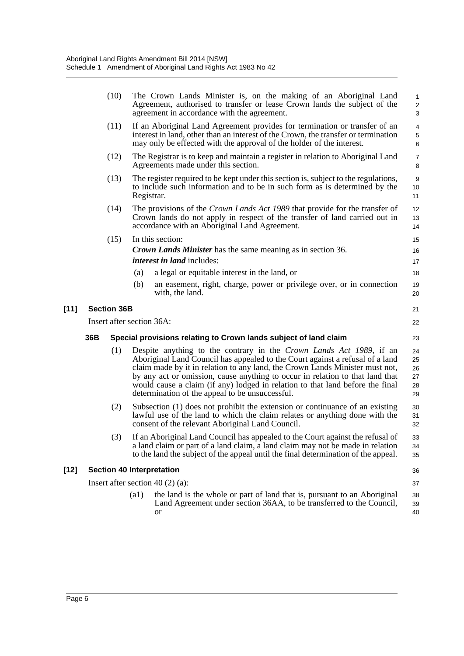|        | (10)               |     | The Crown Lands Minister is, on the making of an Aboriginal Land<br>Agreement, authorised to transfer or lease Crown lands the subject of the<br>agreement in accordance with the agreement.                                                                                                                                                                                                                                                              | $\mathbf{1}$<br>$\overline{c}$<br>3      |
|--------|--------------------|-----|-----------------------------------------------------------------------------------------------------------------------------------------------------------------------------------------------------------------------------------------------------------------------------------------------------------------------------------------------------------------------------------------------------------------------------------------------------------|------------------------------------------|
|        | (11)               |     | If an Aboriginal Land Agreement provides for termination or transfer of an<br>interest in land, other than an interest of the Crown, the transfer or termination<br>may only be effected with the approval of the holder of the interest.                                                                                                                                                                                                                 | $\overline{4}$<br>$\mathbf 5$<br>$\,6\,$ |
|        | (12)               |     | The Registrar is to keep and maintain a register in relation to Aboriginal Land<br>Agreements made under this section.                                                                                                                                                                                                                                                                                                                                    | $\boldsymbol{7}$<br>8                    |
|        | (13)               |     | The register required to be kept under this section is, subject to the regulations,<br>to include such information and to be in such form as is determined by the<br>Registrar.                                                                                                                                                                                                                                                                           | 9<br>10<br>11                            |
|        | (14)               |     | The provisions of the <i>Crown Lands Act 1989</i> that provide for the transfer of<br>Crown lands do not apply in respect of the transfer of land carried out in<br>accordance with an Aboriginal Land Agreement.                                                                                                                                                                                                                                         | 12<br>13<br>14                           |
|        | (15)               |     | In this section:                                                                                                                                                                                                                                                                                                                                                                                                                                          | 15                                       |
|        |                    |     | <b>Crown Lands Minister</b> has the same meaning as in section 36.                                                                                                                                                                                                                                                                                                                                                                                        | 16                                       |
|        |                    |     | <i>interest in land</i> includes:                                                                                                                                                                                                                                                                                                                                                                                                                         | 17                                       |
|        |                    |     | a legal or equitable interest in the land, or<br>(a)                                                                                                                                                                                                                                                                                                                                                                                                      | 18                                       |
|        |                    |     | (b)<br>an easement, right, charge, power or privilege over, or in connection<br>with, the land.                                                                                                                                                                                                                                                                                                                                                           | 19<br>20                                 |
| $[11]$ | <b>Section 36B</b> |     |                                                                                                                                                                                                                                                                                                                                                                                                                                                           | 21                                       |
|        |                    |     | Insert after section 36A:                                                                                                                                                                                                                                                                                                                                                                                                                                 | 22                                       |
|        | 36B                |     | Special provisions relating to Crown lands subject of land claim                                                                                                                                                                                                                                                                                                                                                                                          | 23                                       |
|        |                    | (1) | Despite anything to the contrary in the Crown Lands Act 1989, if an<br>Aboriginal Land Council has appealed to the Court against a refusal of a land<br>claim made by it in relation to any land, the Crown Lands Minister must not,<br>by any act or omission, cause anything to occur in relation to that land that<br>would cause a claim (if any) lodged in relation to that land before the final<br>determination of the appeal to be unsuccessful. | 24<br>25<br>26<br>27<br>28<br>29         |
|        |                    | (2) | Subsection (1) does not prohibit the extension or continuance of an existing<br>lawful use of the land to which the claim relates or anything done with the<br>consent of the relevant Aboriginal Land Council.                                                                                                                                                                                                                                           | 30<br>31<br>32                           |
|        |                    | (3) | If an Aboriginal Land Council has appealed to the Court against the refusal of<br>a land claim or part of a land claim, a land claim may not be made in relation<br>to the land the subject of the appeal until the final determination of the appeal.                                                                                                                                                                                                    | 33<br>34<br>35                           |
| $[12]$ |                    |     | <b>Section 40 Interpretation</b>                                                                                                                                                                                                                                                                                                                                                                                                                          | 36                                       |
|        |                    |     | Insert after section 40 $(2)$ (a):                                                                                                                                                                                                                                                                                                                                                                                                                        | 37                                       |
|        |                    |     | $\left( a1\right)$<br>the land is the whole or part of land that is, pursuant to an Aboriginal<br>Land Agreement under section 36AA, to be transferred to the Council,<br>or                                                                                                                                                                                                                                                                              | 38<br>39<br>40                           |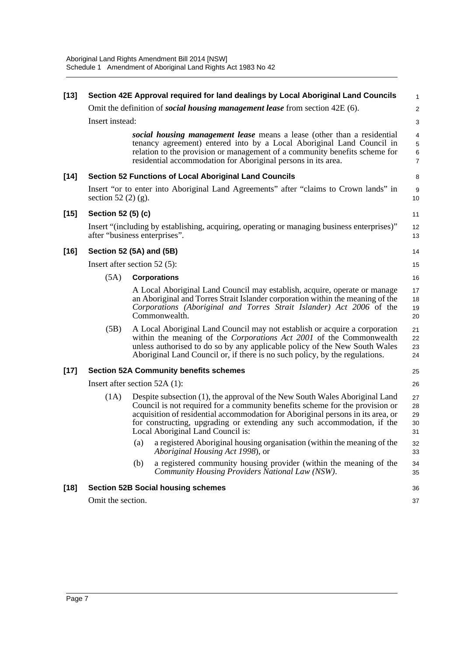| $[13]$ |                          | Section 42E Approval required for land dealings by Local Aboriginal Land Councils                                                                                                                                                                                                                                                                              | $\mathbf{1}$                                             |
|--------|--------------------------|----------------------------------------------------------------------------------------------------------------------------------------------------------------------------------------------------------------------------------------------------------------------------------------------------------------------------------------------------------------|----------------------------------------------------------|
|        |                          | Omit the definition of <i>social housing management lease</i> from section 42E (6).                                                                                                                                                                                                                                                                            | $\sqrt{2}$                                               |
|        | Insert instead:          |                                                                                                                                                                                                                                                                                                                                                                | 3                                                        |
|        |                          | social housing management lease means a lease (other than a residential<br>tenancy agreement) entered into by a Local Aboriginal Land Council in<br>relation to the provision or management of a community benefits scheme for<br>residential accommodation for Aboriginal persons in its area.                                                                | $\overline{4}$<br>$\,$ 5 $\,$<br>$\,6$<br>$\overline{7}$ |
| $[14]$ |                          | <b>Section 52 Functions of Local Aboriginal Land Councils</b>                                                                                                                                                                                                                                                                                                  | 8                                                        |
|        | section 52 $(2)$ $(g)$ . | Insert "or to enter into Aboriginal Land Agreements" after "claims to Crown lands" in                                                                                                                                                                                                                                                                          | 9<br>10                                                  |
| $[15]$ | Section 52 (5) (c)       |                                                                                                                                                                                                                                                                                                                                                                | 11                                                       |
|        |                          | Insert "(including by establishing, acquiring, operating or managing business enterprises)"<br>after "business enterprises".                                                                                                                                                                                                                                   | 12<br>13                                                 |
| $[16]$ |                          | Section 52 (5A) and (5B)                                                                                                                                                                                                                                                                                                                                       | 14                                                       |
|        |                          | Insert after section $52$ (5):                                                                                                                                                                                                                                                                                                                                 | 15                                                       |
|        | (5A)                     | <b>Corporations</b>                                                                                                                                                                                                                                                                                                                                            | 16                                                       |
|        |                          | A Local Aboriginal Land Council may establish, acquire, operate or manage<br>an Aboriginal and Torres Strait Islander corporation within the meaning of the<br>Corporations (Aboriginal and Torres Strait Islander) Act 2006 of the<br>Commonwealth.                                                                                                           | 17<br>18<br>19<br>20                                     |
|        | (5B)                     | A Local Aboriginal Land Council may not establish or acquire a corporation<br>within the meaning of the Corporations Act 2001 of the Commonwealth<br>unless authorised to do so by any applicable policy of the New South Wales<br>Aboriginal Land Council or, if there is no such policy, by the regulations.                                                 | 21<br>22<br>23<br>24                                     |
| $[17]$ |                          | <b>Section 52A Community benefits schemes</b>                                                                                                                                                                                                                                                                                                                  | 25                                                       |
|        |                          | Insert after section $52A(1)$ :                                                                                                                                                                                                                                                                                                                                | 26                                                       |
|        | (1A)                     | Despite subsection (1), the approval of the New South Wales Aboriginal Land<br>Council is not required for a community benefits scheme for the provision or<br>acquisition of residential accommodation for Aboriginal persons in its area, or<br>for constructing, upgrading or extending any such accommodation, if the<br>Local Aboriginal Land Council is: | 27<br>28<br>29<br>30<br>31                               |
|        |                          | a registered Aboriginal housing organisation (within the meaning of the<br>(a)<br>Aboriginal Housing Act 1998), or                                                                                                                                                                                                                                             | 32<br>33                                                 |
|        |                          | a registered community housing provider (within the meaning of the<br>(b)<br>Community Housing Providers National Law (NSW).                                                                                                                                                                                                                                   | 34<br>35                                                 |
| $[18]$ |                          | <b>Section 52B Social housing schemes</b>                                                                                                                                                                                                                                                                                                                      | 36                                                       |
|        | Omit the section.        |                                                                                                                                                                                                                                                                                                                                                                | 37                                                       |
|        |                          |                                                                                                                                                                                                                                                                                                                                                                |                                                          |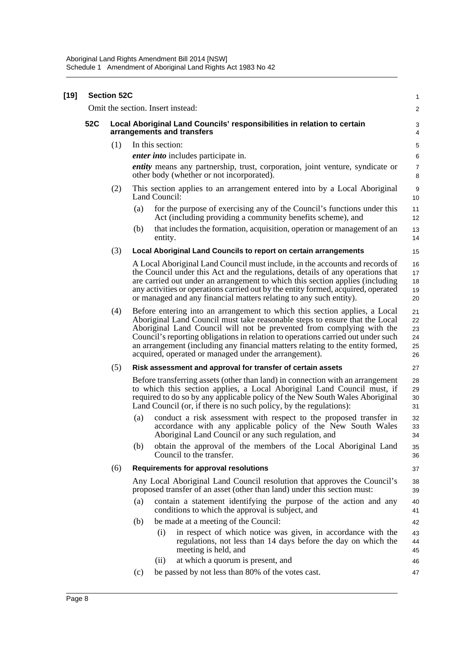| $[19]$ | <b>Section 52C</b> |     |                                                                                                                                                                                                                                                                                                                                                                                                                                                                   |                                  |  |
|--------|--------------------|-----|-------------------------------------------------------------------------------------------------------------------------------------------------------------------------------------------------------------------------------------------------------------------------------------------------------------------------------------------------------------------------------------------------------------------------------------------------------------------|----------------------------------|--|
|        |                    |     | Omit the section. Insert instead:                                                                                                                                                                                                                                                                                                                                                                                                                                 | $\overline{c}$                   |  |
|        | 52C                |     | Local Aboriginal Land Councils' responsibilities in relation to certain<br>arrangements and transfers                                                                                                                                                                                                                                                                                                                                                             | 3<br>4                           |  |
|        |                    | (1) | In this section:                                                                                                                                                                                                                                                                                                                                                                                                                                                  | 5                                |  |
|        |                    |     | <i>enter into</i> includes participate in.                                                                                                                                                                                                                                                                                                                                                                                                                        | 6                                |  |
|        |                    |     | <i>entity</i> means any partnership, trust, corporation, joint venture, syndicate or<br>other body (whether or not incorporated).                                                                                                                                                                                                                                                                                                                                 | $\overline{7}$<br>8              |  |
|        |                    | (2) | This section applies to an arrangement entered into by a Local Aboriginal<br>Land Council:                                                                                                                                                                                                                                                                                                                                                                        | 9<br>10                          |  |
|        |                    |     | for the purpose of exercising any of the Council's functions under this<br>(a)<br>Act (including providing a community benefits scheme), and                                                                                                                                                                                                                                                                                                                      | 11<br>12                         |  |
|        |                    |     | that includes the formation, acquisition, operation or management of an<br>(b)<br>entity.                                                                                                                                                                                                                                                                                                                                                                         | 13<br>14                         |  |
|        |                    | (3) | Local Aboriginal Land Councils to report on certain arrangements                                                                                                                                                                                                                                                                                                                                                                                                  | 15                               |  |
|        |                    |     | A Local Aboriginal Land Council must include, in the accounts and records of<br>the Council under this Act and the regulations, details of any operations that<br>are carried out under an arrangement to which this section applies (including<br>any activities or operations carried out by the entity formed, acquired, operated<br>or managed and any financial matters relating to any such entity).                                                        | 16<br>17<br>18<br>19<br>20       |  |
|        |                    | (4) | Before entering into an arrangement to which this section applies, a Local<br>Aboriginal Land Council must take reasonable steps to ensure that the Local<br>Aboriginal Land Council will not be prevented from complying with the<br>Council's reporting obligations in relation to operations carried out under such<br>an arrangement (including any financial matters relating to the entity formed,<br>acquired, operated or managed under the arrangement). | 21<br>22<br>23<br>24<br>25<br>26 |  |
|        |                    | (5) | Risk assessment and approval for transfer of certain assets                                                                                                                                                                                                                                                                                                                                                                                                       | 27                               |  |
|        |                    |     | Before transferring assets (other than land) in connection with an arrangement<br>to which this section applies, a Local Aboriginal Land Council must, if<br>required to do so by any applicable policy of the New South Wales Aboriginal<br>Land Council (or, if there is no such policy, by the regulations):                                                                                                                                                   | 28<br>29<br>30<br>31             |  |
|        |                    |     | conduct a risk assessment with respect to the proposed transfer in<br>(a)<br>accordance with any applicable policy of the New South Wales<br>Aboriginal Land Council or any such regulation, and                                                                                                                                                                                                                                                                  | 32<br>33<br>34                   |  |
|        |                    |     | obtain the approval of the members of the Local Aboriginal Land<br>(b)<br>Council to the transfer.                                                                                                                                                                                                                                                                                                                                                                | 35<br>36                         |  |
|        |                    | (6) | <b>Requirements for approval resolutions</b>                                                                                                                                                                                                                                                                                                                                                                                                                      | 37                               |  |
|        |                    |     | Any Local Aboriginal Land Council resolution that approves the Council's<br>proposed transfer of an asset (other than land) under this section must:                                                                                                                                                                                                                                                                                                              | 38<br>39                         |  |
|        |                    |     | contain a statement identifying the purpose of the action and any<br>(a)<br>conditions to which the approval is subject, and                                                                                                                                                                                                                                                                                                                                      | 40<br>41                         |  |
|        |                    |     | be made at a meeting of the Council:<br>(b)                                                                                                                                                                                                                                                                                                                                                                                                                       | 42                               |  |
|        |                    |     | (i)<br>in respect of which notice was given, in accordance with the<br>regulations, not less than 14 days before the day on which the<br>meeting is held, and                                                                                                                                                                                                                                                                                                     | 43<br>44<br>45                   |  |
|        |                    |     | at which a quorum is present, and<br>(ii)                                                                                                                                                                                                                                                                                                                                                                                                                         | 46                               |  |
|        |                    |     | be passed by not less than 80% of the votes cast.<br>(c)                                                                                                                                                                                                                                                                                                                                                                                                          | 47                               |  |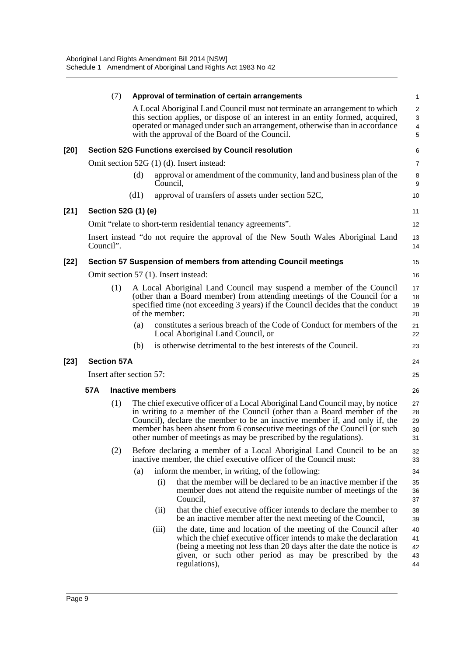|        |                          | (7) |      |                         | Approval of termination of certain arrangements                                                                                                                                                                                                                                                                                                                                            | $\mathbf{1}$                  |
|--------|--------------------------|-----|------|-------------------------|--------------------------------------------------------------------------------------------------------------------------------------------------------------------------------------------------------------------------------------------------------------------------------------------------------------------------------------------------------------------------------------------|-------------------------------|
|        |                          |     |      |                         | A Local Aboriginal Land Council must not terminate an arrangement to which<br>this section applies, or dispose of an interest in an entity formed, acquired,<br>operated or managed under such an arrangement, otherwise than in accordance<br>with the approval of the Board of the Council.                                                                                              | $\overline{2}$<br>3<br>4<br>5 |
| $[20]$ |                          |     |      |                         | <b>Section 52G Functions exercised by Council resolution</b>                                                                                                                                                                                                                                                                                                                               | 6                             |
|        |                          |     |      |                         | Omit section 52G (1) (d). Insert instead:                                                                                                                                                                                                                                                                                                                                                  | 7                             |
|        |                          |     | (d)  | Council,                | approval or amendment of the community, land and business plan of the                                                                                                                                                                                                                                                                                                                      | 8<br>9                        |
|        |                          |     | (d1) |                         | approval of transfers of assets under section 52C,                                                                                                                                                                                                                                                                                                                                         | 10                            |
| $[21]$ | Section 52G (1) (e)      |     |      |                         |                                                                                                                                                                                                                                                                                                                                                                                            | 11                            |
|        |                          |     |      |                         | Omit "relate to short-term residential tenancy agreements".                                                                                                                                                                                                                                                                                                                                | 12                            |
|        | Council".                |     |      |                         | Insert instead "do not require the approval of the New South Wales Aboriginal Land                                                                                                                                                                                                                                                                                                         | 13<br>14                      |
| $[22]$ |                          |     |      |                         | Section 57 Suspension of members from attending Council meetings                                                                                                                                                                                                                                                                                                                           | 15                            |
|        |                          |     |      |                         | Omit section 57 (1). Insert instead:                                                                                                                                                                                                                                                                                                                                                       | 16                            |
|        |                          | (1) |      | of the member:          | A Local Aboriginal Land Council may suspend a member of the Council<br>(other than a Board member) from attending meetings of the Council for a<br>specified time (not exceeding 3 years) if the Council decides that the conduct                                                                                                                                                          | 17<br>18<br>19<br>20          |
|        |                          |     | (a)  |                         | constitutes a serious breach of the Code of Conduct for members of the<br>Local Aboriginal Land Council, or                                                                                                                                                                                                                                                                                | 21<br>22                      |
|        |                          |     | (b)  |                         | is otherwise detrimental to the best interests of the Council.                                                                                                                                                                                                                                                                                                                             | 23                            |
| $[23]$ | <b>Section 57A</b>       |     |      |                         |                                                                                                                                                                                                                                                                                                                                                                                            | 24                            |
|        | Insert after section 57: |     |      |                         |                                                                                                                                                                                                                                                                                                                                                                                            | 25                            |
|        | 57A                      |     |      | <b>Inactive members</b> |                                                                                                                                                                                                                                                                                                                                                                                            | 26                            |
|        |                          | (1) |      |                         | The chief executive officer of a Local Aboriginal Land Council may, by notice<br>in writing to a member of the Council (other than a Board member of the<br>Council), declare the member to be an inactive member if, and only if, the<br>member has been absent from 6 consecutive meetings of the Council (or such<br>other number of meetings as may be prescribed by the regulations). | 27<br>28<br>29<br>30<br>31    |
|        |                          | (2) |      |                         | Before declaring a member of a Local Aboriginal Land Council to be an<br>inactive member, the chief executive officer of the Council must:                                                                                                                                                                                                                                                 | 32<br>33                      |
|        |                          |     | (a)  |                         | inform the member, in writing, of the following:                                                                                                                                                                                                                                                                                                                                           | 34                            |
|        |                          |     |      | (i)                     | that the member will be declared to be an inactive member if the<br>member does not attend the requisite number of meetings of the<br>Council,                                                                                                                                                                                                                                             | 35<br>36<br>37                |
|        |                          |     |      | (ii)                    | that the chief executive officer intends to declare the member to<br>be an inactive member after the next meeting of the Council,                                                                                                                                                                                                                                                          | 38<br>39                      |
|        |                          |     |      | (iii)                   | the date, time and location of the meeting of the Council after<br>which the chief executive officer intends to make the declaration<br>(being a meeting not less than 20 days after the date the notice is<br>given, or such other period as may be prescribed by the<br>regulations),                                                                                                    | 40<br>41<br>42<br>43<br>44    |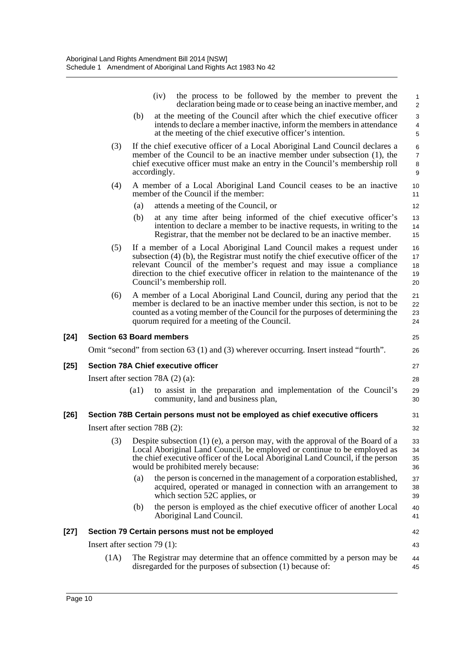|        |                                 |      | the process to be followed by the member to prevent the<br>(iv)<br>declaration being made or to cease being an inactive member, and                                                                                                                                                                                                               | 1<br>$\overline{\mathbf{c}}$  |
|--------|---------------------------------|------|---------------------------------------------------------------------------------------------------------------------------------------------------------------------------------------------------------------------------------------------------------------------------------------------------------------------------------------------------|-------------------------------|
|        |                                 | (b)  | at the meeting of the Council after which the chief executive officer<br>intends to declare a member inactive, inform the members in attendance<br>at the meeting of the chief executive officer's intention.                                                                                                                                     | 3<br>$\frac{4}{5}$            |
|        | (3)                             |      | If the chief executive officer of a Local Aboriginal Land Council declares a<br>member of the Council to be an inactive member under subsection (1), the<br>chief executive officer must make an entry in the Council's membership roll<br>accordingly.                                                                                           | 6<br>$\overline{7}$<br>8<br>9 |
|        | (4)                             |      | A member of a Local Aboriginal Land Council ceases to be an inactive<br>member of the Council if the member:                                                                                                                                                                                                                                      | 10<br>11                      |
|        |                                 | (a)  | attends a meeting of the Council, or                                                                                                                                                                                                                                                                                                              | 12                            |
|        |                                 | (b)  | at any time after being informed of the chief executive officer's<br>intention to declare a member to be inactive requests, in writing to the<br>Registrar, that the member not be declared to be an inactive member.                                                                                                                             | 13<br>14<br>15                |
|        | (5)                             |      | If a member of a Local Aboriginal Land Council makes a request under<br>subsection $(4)$ (b), the Registrar must notify the chief executive officer of the<br>relevant Council of the member's request and may issue a compliance<br>direction to the chief executive officer in relation to the maintenance of the<br>Council's membership roll. | 16<br>17<br>18<br>19<br>20    |
|        | (6)                             |      | A member of a Local Aboriginal Land Council, during any period that the<br>member is declared to be an inactive member under this section, is not to be<br>counted as a voting member of the Council for the purposes of determining the<br>quorum required for a meeting of the Council.                                                         | 21<br>22<br>23<br>24          |
| $[24]$ |                                 |      | <b>Section 63 Board members</b>                                                                                                                                                                                                                                                                                                                   | 25                            |
|        |                                 |      | Omit "second" from section 63 (1) and (3) wherever occurring. Insert instead "fourth".                                                                                                                                                                                                                                                            | 26                            |
| $[25]$ |                                 |      | <b>Section 78A Chief executive officer</b>                                                                                                                                                                                                                                                                                                        | 27                            |
|        |                                 |      | Insert after section 78A $(2)$ $(a)$ :                                                                                                                                                                                                                                                                                                            | 28                            |
|        |                                 | (a1) | to assist in the preparation and implementation of the Council's<br>community, land and business plan,                                                                                                                                                                                                                                            | 29<br>30                      |
| [26]   |                                 |      | Section 78B Certain persons must not be employed as chief executive officers                                                                                                                                                                                                                                                                      | 31                            |
|        | Insert after section 78B (2):   |      |                                                                                                                                                                                                                                                                                                                                                   | 32                            |
|        | (3)                             |      | Despite subsection $(1)$ (e), a person may, with the approval of the Board of a<br>Local Aboriginal Land Council, be employed or continue to be employed as<br>the chief executive officer of the Local Aboriginal Land Council, if the person<br>would be prohibited merely because:                                                             | 33<br>34<br>35<br>36          |
|        |                                 | (a)  | the person is concerned in the management of a corporation established,<br>acquired, operated or managed in connection with an arrangement to                                                                                                                                                                                                     | 37<br>38                      |
|        |                                 |      | which section 52C applies, or                                                                                                                                                                                                                                                                                                                     | 39                            |
|        |                                 | (b)  | the person is employed as the chief executive officer of another Local<br>Aboriginal Land Council.                                                                                                                                                                                                                                                | 40<br>41                      |
|        |                                 |      | Section 79 Certain persons must not be employed                                                                                                                                                                                                                                                                                                   | 42                            |
| $[27]$ | Insert after section 79 $(1)$ : |      |                                                                                                                                                                                                                                                                                                                                                   | 43                            |

 $[24]$ 

[25]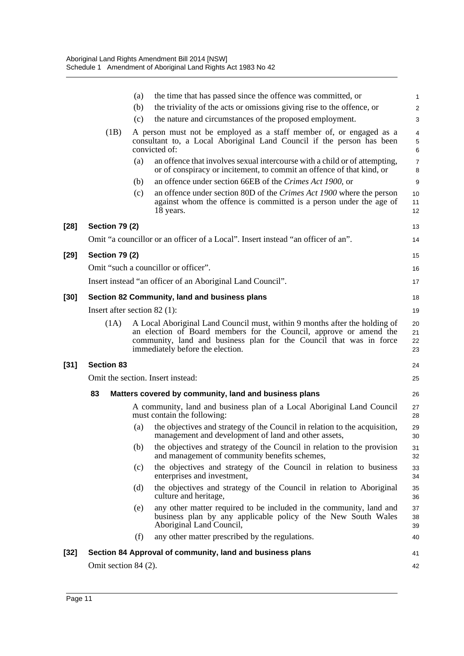|        |                       | the time that has passed since the offence was committed, or<br>(a)                                                                                                                                                                                         | 1                    |
|--------|-----------------------|-------------------------------------------------------------------------------------------------------------------------------------------------------------------------------------------------------------------------------------------------------------|----------------------|
|        |                       | (b)<br>the triviality of the acts or omissions giving rise to the offence, or                                                                                                                                                                               | $\overline{c}$       |
|        |                       | the nature and circumstances of the proposed employment.<br>(c)                                                                                                                                                                                             | 3                    |
|        | (1B)                  | A person must not be employed as a staff member of, or engaged as a<br>consultant to, a Local Aboriginal Land Council if the person has been<br>convicted of:                                                                                               | 4<br>5<br>6          |
|        |                       | an offence that involves sexual intercourse with a child or of attempting,<br>(a)<br>or of conspiracy or incitement, to commit an offence of that kind, or                                                                                                  | 7<br>8               |
|        |                       | an offence under section 66EB of the Crimes Act 1900, or<br>(b)                                                                                                                                                                                             | 9                    |
|        |                       | an offence under section 80D of the Crimes Act 1900 where the person<br>(c)<br>against whom the offence is committed is a person under the age of<br>18 years.                                                                                              | 10<br>11<br>12       |
| $[28]$ | <b>Section 79 (2)</b> |                                                                                                                                                                                                                                                             | 13                   |
|        |                       | Omit "a councillor or an officer of a Local". Insert instead "an officer of an".                                                                                                                                                                            | 14                   |
| $[29]$ | <b>Section 79 (2)</b> |                                                                                                                                                                                                                                                             | 15                   |
|        |                       | Omit "such a councillor or officer".                                                                                                                                                                                                                        | 16                   |
|        |                       | Insert instead "an officer of an Aboriginal Land Council".                                                                                                                                                                                                  | 17                   |
| $[30]$ |                       | Section 82 Community, land and business plans                                                                                                                                                                                                               | 18                   |
|        |                       | Insert after section $82$ (1):                                                                                                                                                                                                                              | 19                   |
|        | (1A)                  | A Local Aboriginal Land Council must, within 9 months after the holding of<br>an election of Board members for the Council, approve or amend the<br>community, land and business plan for the Council that was in force<br>immediately before the election. | 20<br>21<br>22<br>23 |
| $[31]$ | <b>Section 83</b>     |                                                                                                                                                                                                                                                             | 24                   |
|        |                       | Omit the section. Insert instead:                                                                                                                                                                                                                           | 25                   |
|        | 83                    | Matters covered by community, land and business plans                                                                                                                                                                                                       | 26                   |
|        |                       | A community, land and business plan of a Local Aboriginal Land Council<br>must contain the following:                                                                                                                                                       | 27<br>28             |
|        |                       | the objectives and strategy of the Council in relation to the acquisition,<br>(a)<br>management and development of land and other assets,                                                                                                                   | 29<br>30             |
|        |                       | the objectives and strategy of the Council in relation to the provision<br>(b)<br>and management of community benefits schemes,                                                                                                                             | 31<br>32             |
|        |                       | the objectives and strategy of the Council in relation to business<br>(c)<br>enterprises and investment,                                                                                                                                                    | 33<br>34             |
|        |                       | the objectives and strategy of the Council in relation to Aboriginal<br>(d)<br>culture and heritage,                                                                                                                                                        | 35<br>36             |
|        |                       | any other matter required to be included in the community, land and<br>(e)<br>business plan by any applicable policy of the New South Wales<br>Aboriginal Land Council,                                                                                     | 37<br>38<br>39       |
|        |                       | any other matter prescribed by the regulations.<br>(f)                                                                                                                                                                                                      | 40                   |
| $[32]$ |                       | Section 84 Approval of community, land and business plans                                                                                                                                                                                                   | 41                   |
|        | Omit section 84 (2).  |                                                                                                                                                                                                                                                             | 42                   |
|        |                       |                                                                                                                                                                                                                                                             |                      |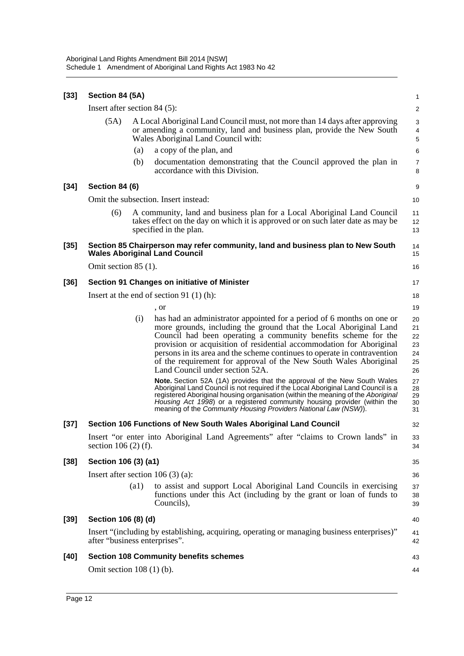| $[33]$ | Section 84 (5A)                |                    |                                                                                                                                                                                                                                                                                                                                                                                                                                                                          | $\mathbf{1}$                           |
|--------|--------------------------------|--------------------|--------------------------------------------------------------------------------------------------------------------------------------------------------------------------------------------------------------------------------------------------------------------------------------------------------------------------------------------------------------------------------------------------------------------------------------------------------------------------|----------------------------------------|
|        | Insert after section $84(5)$ : |                    |                                                                                                                                                                                                                                                                                                                                                                                                                                                                          | $\overline{\mathbf{c}}$                |
|        | (5A)                           |                    | A Local Aboriginal Land Council must, not more than 14 days after approving<br>or amending a community, land and business plan, provide the New South<br>Wales Aboriginal Land Council with:                                                                                                                                                                                                                                                                             | 3<br>4<br>5                            |
|        |                                | (a)                | a copy of the plan, and                                                                                                                                                                                                                                                                                                                                                                                                                                                  | 6                                      |
|        |                                | (b)                | documentation demonstrating that the Council approved the plan in<br>accordance with this Division.                                                                                                                                                                                                                                                                                                                                                                      | 7<br>8                                 |
| $[34]$ | Section 84 (6)                 |                    |                                                                                                                                                                                                                                                                                                                                                                                                                                                                          | 9                                      |
|        |                                |                    | Omit the subsection. Insert instead:                                                                                                                                                                                                                                                                                                                                                                                                                                     | 10                                     |
|        | (6)                            |                    | A community, land and business plan for a Local Aboriginal Land Council<br>takes effect on the day on which it is approved or on such later date as may be<br>specified in the plan.                                                                                                                                                                                                                                                                                     | 11<br>12<br>13                         |
| $[35]$ |                                |                    | Section 85 Chairperson may refer community, land and business plan to New South<br><b>Wales Aboriginal Land Council</b>                                                                                                                                                                                                                                                                                                                                                  | 14<br>15                               |
|        | Omit section $85(1)$ .         |                    |                                                                                                                                                                                                                                                                                                                                                                                                                                                                          | 16                                     |
| $[36]$ |                                |                    | Section 91 Changes on initiative of Minister                                                                                                                                                                                                                                                                                                                                                                                                                             | 17                                     |
|        |                                |                    | Insert at the end of section 91 $(1)$ (h):                                                                                                                                                                                                                                                                                                                                                                                                                               | 18                                     |
|        |                                |                    | , or                                                                                                                                                                                                                                                                                                                                                                                                                                                                     | 19                                     |
|        |                                | (i)                | has had an administrator appointed for a period of 6 months on one or<br>more grounds, including the ground that the Local Aboriginal Land<br>Council had been operating a community benefits scheme for the<br>provision or acquisition of residential accommodation for Aboriginal<br>persons in its area and the scheme continues to operate in contravention<br>of the requirement for approval of the New South Wales Aboriginal<br>Land Council under section 52A. | 20<br>21<br>22<br>23<br>24<br>25<br>26 |
|        |                                |                    | Note. Section 52A (1A) provides that the approval of the New South Wales<br>Aboriginal Land Council is not required if the Local Aboriginal Land Council is a<br>registered Aboriginal housing organisation (within the meaning of the Aboriginal<br>Housing Act 1998) or a registered community housing provider (within the<br>meaning of the Community Housing Providers National Law (NSW)).                                                                         | 27<br>28<br>29<br>30<br>31             |
| $[37]$ |                                |                    | Section 106 Functions of New South Wales Aboriginal Land Council                                                                                                                                                                                                                                                                                                                                                                                                         | 32                                     |
|        | section $106(2)$ (f).          |                    | Insert "or enter into Aboriginal Land Agreements" after "claims to Crown lands" in                                                                                                                                                                                                                                                                                                                                                                                       | 33<br>34                               |
| $[38]$ | Section 106 (3) (a1)           |                    |                                                                                                                                                                                                                                                                                                                                                                                                                                                                          | 35                                     |
|        |                                |                    | Insert after section $106(3)(a)$ :                                                                                                                                                                                                                                                                                                                                                                                                                                       | 36                                     |
|        |                                | $\left( a1\right)$ | to assist and support Local Aboriginal Land Councils in exercising<br>functions under this Act (including by the grant or loan of funds to<br>Councils),                                                                                                                                                                                                                                                                                                                 | 37<br>38<br>39                         |
| $[39]$ | Section 106 (8) (d)            |                    |                                                                                                                                                                                                                                                                                                                                                                                                                                                                          | 40                                     |
|        | after "business enterprises".  |                    | Insert "(including by establishing, acquiring, operating or managing business enterprises)"                                                                                                                                                                                                                                                                                                                                                                              | 41<br>42                               |
| $[40]$ |                                |                    | <b>Section 108 Community benefits schemes</b>                                                                                                                                                                                                                                                                                                                                                                                                                            | 43                                     |
|        | Omit section $108(1)$ (b).     |                    |                                                                                                                                                                                                                                                                                                                                                                                                                                                                          | 44                                     |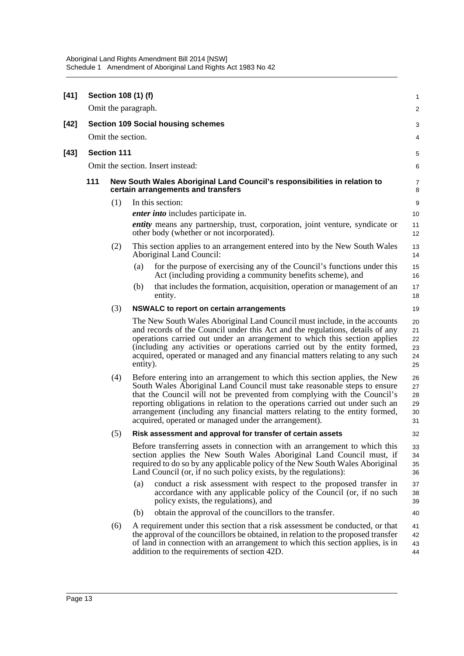| $[41]$ |                                                                | Section 108 (1) (f) |                                   |                                                                                                                                                                                                                                                                                                                                                                                                                                                             | $\mathbf{1}$                     |  |  |  |
|--------|----------------------------------------------------------------|---------------------|-----------------------------------|-------------------------------------------------------------------------------------------------------------------------------------------------------------------------------------------------------------------------------------------------------------------------------------------------------------------------------------------------------------------------------------------------------------------------------------------------------------|----------------------------------|--|--|--|
|        |                                                                | Omit the paragraph. |                                   |                                                                                                                                                                                                                                                                                                                                                                                                                                                             | $\overline{2}$                   |  |  |  |
| $[42]$ | <b>Section 109 Social housing schemes</b><br>Omit the section. |                     |                                   |                                                                                                                                                                                                                                                                                                                                                                                                                                                             |                                  |  |  |  |
|        |                                                                |                     |                                   |                                                                                                                                                                                                                                                                                                                                                                                                                                                             | 4                                |  |  |  |
| $[43]$ |                                                                | <b>Section 111</b>  |                                   |                                                                                                                                                                                                                                                                                                                                                                                                                                                             | 5                                |  |  |  |
|        |                                                                |                     | Omit the section. Insert instead: |                                                                                                                                                                                                                                                                                                                                                                                                                                                             |                                  |  |  |  |
|        | 111                                                            |                     |                                   | New South Wales Aboriginal Land Council's responsibilities in relation to<br>certain arrangements and transfers                                                                                                                                                                                                                                                                                                                                             | $\overline{7}$<br>8              |  |  |  |
|        |                                                                | (1)                 |                                   | In this section:                                                                                                                                                                                                                                                                                                                                                                                                                                            | 9                                |  |  |  |
|        |                                                                |                     |                                   | <i>enter into</i> includes participate in.                                                                                                                                                                                                                                                                                                                                                                                                                  | 10                               |  |  |  |
|        |                                                                |                     |                                   | <i>entity</i> means any partnership, trust, corporation, joint venture, syndicate or<br>other body (whether or not incorporated).                                                                                                                                                                                                                                                                                                                           | 11<br>12                         |  |  |  |
|        |                                                                | (2)                 |                                   | This section applies to an arrangement entered into by the New South Wales<br>Aboriginal Land Council:                                                                                                                                                                                                                                                                                                                                                      | 13<br>14                         |  |  |  |
|        |                                                                |                     | (a)                               | for the purpose of exercising any of the Council's functions under this<br>Act (including providing a community benefits scheme), and                                                                                                                                                                                                                                                                                                                       | 15<br>16                         |  |  |  |
|        |                                                                |                     | (b)                               | that includes the formation, acquisition, operation or management of an<br>entity.                                                                                                                                                                                                                                                                                                                                                                          | 17<br>18                         |  |  |  |
|        |                                                                | (3)                 |                                   | <b>NSWALC</b> to report on certain arrangements                                                                                                                                                                                                                                                                                                                                                                                                             | 19                               |  |  |  |
|        |                                                                |                     | entity).                          | The New South Wales Aboriginal Land Council must include, in the accounts<br>and records of the Council under this Act and the regulations, details of any<br>operations carried out under an arrangement to which this section applies<br>(including any activities or operations carried out by the entity formed,<br>acquired, operated or managed and any financial matters relating to any such                                                        | 20<br>21<br>22<br>23<br>24<br>25 |  |  |  |
|        |                                                                | (4)                 |                                   | Before entering into an arrangement to which this section applies, the New<br>South Wales Aboriginal Land Council must take reasonable steps to ensure<br>that the Council will not be prevented from complying with the Council's<br>reporting obligations in relation to the operations carried out under such an<br>arrangement (including any financial matters relating to the entity formed,<br>acquired, operated or managed under the arrangement). | 26<br>27<br>28<br>29<br>30<br>31 |  |  |  |
|        |                                                                | (5)                 |                                   | Risk assessment and approval for transfer of certain assets                                                                                                                                                                                                                                                                                                                                                                                                 | 32                               |  |  |  |
|        |                                                                |                     |                                   | Before transferring assets in connection with an arrangement to which this<br>section applies the New South Wales Aboriginal Land Council must, if<br>required to do so by any applicable policy of the New South Wales Aboriginal<br>Land Council (or, if no such policy exists, by the regulations):                                                                                                                                                      | 33<br>34<br>35<br>36             |  |  |  |
|        |                                                                |                     | (a)                               | conduct a risk assessment with respect to the proposed transfer in<br>accordance with any applicable policy of the Council (or, if no such<br>policy exists, the regulations), and                                                                                                                                                                                                                                                                          | 37<br>38<br>39                   |  |  |  |
|        |                                                                |                     | (b)                               | obtain the approval of the councillors to the transfer.                                                                                                                                                                                                                                                                                                                                                                                                     | 40                               |  |  |  |
|        |                                                                | (6)                 |                                   | A requirement under this section that a risk assessment be conducted, or that<br>the approval of the councillors be obtained, in relation to the proposed transfer<br>of land in connection with an arrangement to which this section applies, is in<br>addition to the requirements of section 42D.                                                                                                                                                        | 41<br>42<br>43<br>44             |  |  |  |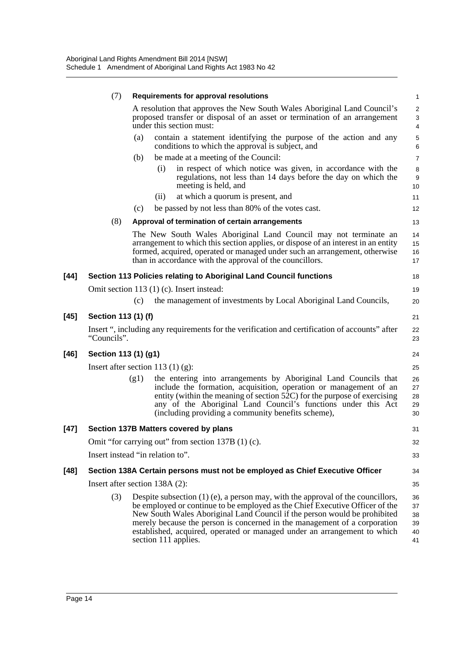|        | (7)                  | Requirements for approval resolutions                                                                                                                                                                                                                                                                                                                                                                                           | $\mathbf{1}$                                     |
|--------|----------------------|---------------------------------------------------------------------------------------------------------------------------------------------------------------------------------------------------------------------------------------------------------------------------------------------------------------------------------------------------------------------------------------------------------------------------------|--------------------------------------------------|
|        |                      | A resolution that approves the New South Wales Aboriginal Land Council's<br>proposed transfer or disposal of an asset or termination of an arrangement<br>under this section must:                                                                                                                                                                                                                                              | 2<br>$\ensuremath{\mathsf{3}}$<br>$\overline{4}$ |
|        |                      | contain a statement identifying the purpose of the action and any<br>(a)<br>conditions to which the approval is subject, and                                                                                                                                                                                                                                                                                                    | 5<br>6                                           |
|        |                      | be made at a meeting of the Council:<br>(b)                                                                                                                                                                                                                                                                                                                                                                                     | $\overline{7}$                                   |
|        |                      | in respect of which notice was given, in accordance with the<br>(i)<br>regulations, not less than 14 days before the day on which the<br>meeting is held, and                                                                                                                                                                                                                                                                   | 8<br>$9\,$<br>10                                 |
|        |                      | at which a quorum is present, and<br>(ii)                                                                                                                                                                                                                                                                                                                                                                                       | 11                                               |
|        |                      | be passed by not less than 80% of the votes cast.<br>(c)                                                                                                                                                                                                                                                                                                                                                                        | 12                                               |
|        | (8)                  | Approval of termination of certain arrangements                                                                                                                                                                                                                                                                                                                                                                                 | 13                                               |
|        |                      | The New South Wales Aboriginal Land Council may not terminate an<br>arrangement to which this section applies, or dispose of an interest in an entity<br>formed, acquired, operated or managed under such an arrangement, otherwise<br>than in accordance with the approval of the councillors.                                                                                                                                 | 14<br>15<br>16<br>17                             |
| $[44]$ |                      | Section 113 Policies relating to Aboriginal Land Council functions                                                                                                                                                                                                                                                                                                                                                              | 18                                               |
|        |                      | Omit section 113 (1) (c). Insert instead:                                                                                                                                                                                                                                                                                                                                                                                       | 19                                               |
|        |                      | the management of investments by Local Aboriginal Land Councils,<br>(c)                                                                                                                                                                                                                                                                                                                                                         | 20                                               |
| $[45]$ | Section 113 (1) (f)  |                                                                                                                                                                                                                                                                                                                                                                                                                                 | 21                                               |
|        | "Councils".          | Insert ", including any requirements for the verification and certification of accounts" after                                                                                                                                                                                                                                                                                                                                  | 22<br>23                                         |
| $[46]$ | Section 113 (1) (g1) |                                                                                                                                                                                                                                                                                                                                                                                                                                 | 24                                               |
|        |                      | Insert after section 113 $(1)$ (g):                                                                                                                                                                                                                                                                                                                                                                                             | 25                                               |
|        |                      | the entering into arrangements by Aboriginal Land Councils that<br>(g1)<br>include the formation, acquisition, operation or management of an<br>entity (within the meaning of section $52C$ ) for the purpose of exercising<br>any of the Aboriginal Land Council's functions under this Act<br>(including providing a community benefits scheme),                                                                              | 26<br>27<br>28<br>29<br>30                       |
| $[47]$ |                      | Section 137B Matters covered by plans                                                                                                                                                                                                                                                                                                                                                                                           | 31                                               |
|        |                      | Omit "for carrying out" from section 137B (1) (c).                                                                                                                                                                                                                                                                                                                                                                              | 32                                               |
|        |                      | Insert instead "in relation to".                                                                                                                                                                                                                                                                                                                                                                                                | 33                                               |
| $[48]$ |                      | Section 138A Certain persons must not be employed as Chief Executive Officer                                                                                                                                                                                                                                                                                                                                                    | 34                                               |
|        |                      | Insert after section 138A (2):                                                                                                                                                                                                                                                                                                                                                                                                  | 35                                               |
|        | (3)                  | Despite subsection $(1)$ (e), a person may, with the approval of the councillors,<br>be employed or continue to be employed as the Chief Executive Officer of the<br>New South Wales Aboriginal Land Council if the person would be prohibited<br>merely because the person is concerned in the management of a corporation<br>established, acquired, operated or managed under an arrangement to which<br>section 111 applies. | 36<br>37<br>38<br>39<br>40<br>41                 |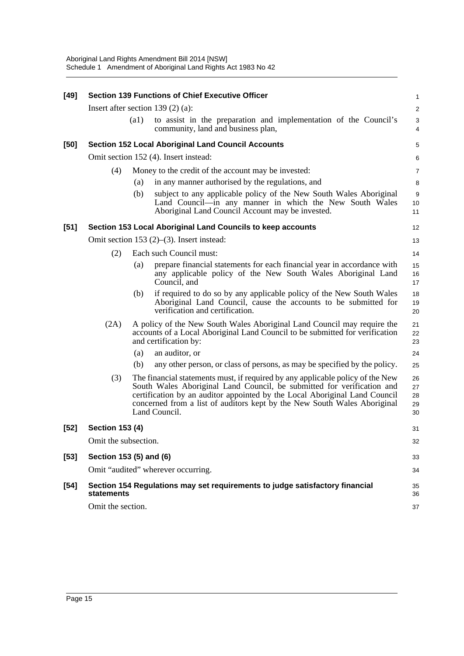| $[49]$ | <b>Section 139 Functions of Chief Executive Officer</b> |      |                                                                                                                                                                                                                                                                                                                                     |                            |  |  |  |
|--------|---------------------------------------------------------|------|-------------------------------------------------------------------------------------------------------------------------------------------------------------------------------------------------------------------------------------------------------------------------------------------------------------------------------------|----------------------------|--|--|--|
|        |                                                         |      | Insert after section 139 $(2)$ $(a)$ :                                                                                                                                                                                                                                                                                              | $\overline{\mathbf{c}}$    |  |  |  |
|        |                                                         | (a1) | to assist in the preparation and implementation of the Council's<br>community, land and business plan,                                                                                                                                                                                                                              | 3<br>4                     |  |  |  |
| $[50]$ |                                                         |      | <b>Section 152 Local Aboriginal Land Council Accounts</b>                                                                                                                                                                                                                                                                           | 5                          |  |  |  |
|        |                                                         |      | Omit section 152 (4). Insert instead:                                                                                                                                                                                                                                                                                               | 6                          |  |  |  |
|        | (4)                                                     |      | Money to the credit of the account may be invested:                                                                                                                                                                                                                                                                                 | 7                          |  |  |  |
|        |                                                         | (a)  | in any manner authorised by the regulations, and                                                                                                                                                                                                                                                                                    | 8                          |  |  |  |
|        |                                                         | (b)  | subject to any applicable policy of the New South Wales Aboriginal<br>Land Council—in any manner in which the New South Wales<br>Aboriginal Land Council Account may be invested.                                                                                                                                                   | 9<br>10<br>11              |  |  |  |
| $[51]$ |                                                         |      | Section 153 Local Aboriginal Land Councils to keep accounts                                                                                                                                                                                                                                                                         | 12                         |  |  |  |
|        |                                                         |      | Omit section 153 $(2)$ – $(3)$ . Insert instead:                                                                                                                                                                                                                                                                                    | 13                         |  |  |  |
|        | (2)                                                     |      | Each such Council must:                                                                                                                                                                                                                                                                                                             | 14                         |  |  |  |
|        |                                                         | (a)  | prepare financial statements for each financial year in accordance with<br>any applicable policy of the New South Wales Aboriginal Land<br>Council, and                                                                                                                                                                             | 15<br>16<br>17             |  |  |  |
|        |                                                         | (b)  | if required to do so by any applicable policy of the New South Wales<br>Aboriginal Land Council, cause the accounts to be submitted for<br>verification and certification.                                                                                                                                                          | 18<br>19<br>20             |  |  |  |
|        | (2A)                                                    |      | A policy of the New South Wales Aboriginal Land Council may require the<br>accounts of a Local Aboriginal Land Council to be submitted for verification<br>and certification by:                                                                                                                                                    | 21<br>22<br>23             |  |  |  |
|        |                                                         | (a)  | an auditor, or                                                                                                                                                                                                                                                                                                                      | 24                         |  |  |  |
|        |                                                         | (b)  | any other person, or class of persons, as may be specified by the policy.                                                                                                                                                                                                                                                           | 25                         |  |  |  |
|        | (3)                                                     |      | The financial statements must, if required by any applicable policy of the New<br>South Wales Aboriginal Land Council, be submitted for verification and<br>certification by an auditor appointed by the Local Aboriginal Land Council<br>concerned from a list of auditors kept by the New South Wales Aboriginal<br>Land Council. | 26<br>27<br>28<br>29<br>30 |  |  |  |
| $[52]$ | <b>Section 153 (4)</b>                                  |      |                                                                                                                                                                                                                                                                                                                                     | 31                         |  |  |  |
|        | Omit the subsection.                                    |      |                                                                                                                                                                                                                                                                                                                                     | 32                         |  |  |  |
| $[53]$ | Section 153 (5) and (6)                                 |      |                                                                                                                                                                                                                                                                                                                                     | 33                         |  |  |  |
|        |                                                         |      | Omit "audited" wherever occurring.                                                                                                                                                                                                                                                                                                  | 34                         |  |  |  |
| $[54]$ | statements                                              |      | Section 154 Regulations may set requirements to judge satisfactory financial                                                                                                                                                                                                                                                        | 35<br>36                   |  |  |  |
|        | Omit the section.                                       |      |                                                                                                                                                                                                                                                                                                                                     |                            |  |  |  |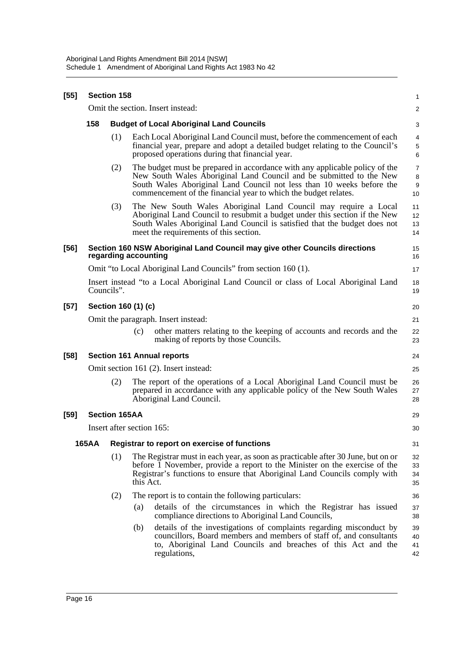| $[55]$ | Section 158                           |                           |           |                                                                                                                                                                                                                                                                                                |                         |  |  |  |  |
|--------|---------------------------------------|---------------------------|-----------|------------------------------------------------------------------------------------------------------------------------------------------------------------------------------------------------------------------------------------------------------------------------------------------------|-------------------------|--|--|--|--|
|        |                                       |                           |           | Omit the section. Insert instead:                                                                                                                                                                                                                                                              | $\overline{\mathbf{c}}$ |  |  |  |  |
|        | 158                                   |                           |           | <b>Budget of Local Aboriginal Land Councils</b>                                                                                                                                                                                                                                                | 3                       |  |  |  |  |
|        |                                       | (1)                       |           | Each Local Aboriginal Land Council must, before the commencement of each<br>financial year, prepare and adopt a detailed budget relating to the Council's<br>proposed operations during that financial year.                                                                                   | 4<br>5<br>6             |  |  |  |  |
|        |                                       | (2)                       |           | The budget must be prepared in accordance with any applicable policy of the<br>New South Wales Aboriginal Land Council and be submitted to the New<br>South Wales Aboriginal Land Council not less than 10 weeks before the<br>commencement of the financial year to which the budget relates. | 7<br>8<br>9<br>10       |  |  |  |  |
|        |                                       | (3)                       |           | The New South Wales Aboriginal Land Council may require a Local<br>Aboriginal Land Council to resubmit a budget under this section if the New<br>South Wales Aboriginal Land Council is satisfied that the budget does not<br>meet the requirements of this section.                           | 11<br>12<br>13<br>14    |  |  |  |  |
| [56]   |                                       | regarding accounting      |           | Section 160 NSW Aboriginal Land Council may give other Councils directions                                                                                                                                                                                                                     | 15<br>16                |  |  |  |  |
|        |                                       |                           |           | Omit "to Local Aboriginal Land Councils" from section 160 (1).                                                                                                                                                                                                                                 | 17                      |  |  |  |  |
|        |                                       | Councils".                |           | Insert instead "to a Local Aboriginal Land Council or class of Local Aboriginal Land                                                                                                                                                                                                           | 18<br>19                |  |  |  |  |
| [57]   | Section 160 (1) (c)                   |                           |           |                                                                                                                                                                                                                                                                                                |                         |  |  |  |  |
|        | Omit the paragraph. Insert instead:   |                           |           |                                                                                                                                                                                                                                                                                                |                         |  |  |  |  |
|        |                                       |                           | (c)       | other matters relating to the keeping of accounts and records and the<br>making of reports by those Councils.                                                                                                                                                                                  | 22<br>23                |  |  |  |  |
| [58]   |                                       |                           |           | <b>Section 161 Annual reports</b>                                                                                                                                                                                                                                                              | 24                      |  |  |  |  |
|        | Omit section 161 (2). Insert instead: |                           |           |                                                                                                                                                                                                                                                                                                |                         |  |  |  |  |
|        |                                       | (2)                       |           | The report of the operations of a Local Aboriginal Land Council must be<br>prepared in accordance with any applicable policy of the New South Wales<br>Aboriginal Land Council.                                                                                                                | 26<br>27<br>28          |  |  |  |  |
| [59]   |                                       | <b>Section 165AA</b>      |           |                                                                                                                                                                                                                                                                                                | 29                      |  |  |  |  |
|        |                                       | Insert after section 165: |           |                                                                                                                                                                                                                                                                                                | 30                      |  |  |  |  |
|        | <b>165AA</b>                          |                           |           | Registrar to report on exercise of functions                                                                                                                                                                                                                                                   | 31                      |  |  |  |  |
|        |                                       | (1)                       | this Act. | The Registrar must in each year, as soon as practicable after 30 June, but on or<br>before 1 November, provide a report to the Minister on the exercise of the<br>Registrar's functions to ensure that Aboriginal Land Councils comply with                                                    | 32<br>33<br>34<br>35    |  |  |  |  |
|        |                                       | (2)                       |           | The report is to contain the following particulars:                                                                                                                                                                                                                                            | 36                      |  |  |  |  |
|        |                                       |                           | (a)       | details of the circumstances in which the Registrar has issued<br>compliance directions to Aboriginal Land Councils,                                                                                                                                                                           | 37<br>38                |  |  |  |  |
|        |                                       |                           | (b)       | details of the investigations of complaints regarding misconduct by<br>councillors, Board members and members of staff of, and consultants<br>to, Aboriginal Land Councils and breaches of this Act and the<br>regulations,                                                                    | 39<br>40<br>41<br>42    |  |  |  |  |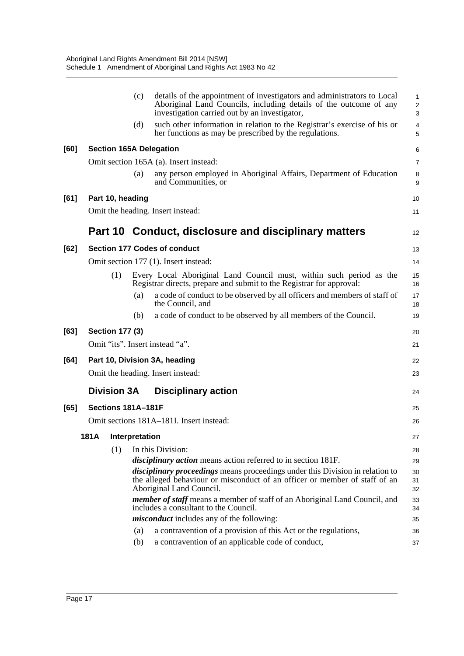|      |                                | (c) | details of the appointment of investigators and administrators to Local<br>Aboriginal Land Councils, including details of the outcome of any<br>investigation carried out by an investigator,  | $\mathbf{1}$<br>$\overline{c}$<br>3 |
|------|--------------------------------|-----|------------------------------------------------------------------------------------------------------------------------------------------------------------------------------------------------|-------------------------------------|
|      |                                | (d) | such other information in relation to the Registrar's exercise of his or<br>her functions as may be prescribed by the regulations.                                                             | $\overline{4}$<br>5                 |
| [60] | <b>Section 165A Delegation</b> |     |                                                                                                                                                                                                | 6                                   |
|      |                                |     | Omit section 165A (a). Insert instead:                                                                                                                                                         | $\overline{7}$                      |
|      |                                | (a) | any person employed in Aboriginal Affairs, Department of Education<br>and Communities, or                                                                                                      | 8<br>9                              |
| [61] | Part 10, heading               |     |                                                                                                                                                                                                | 10                                  |
|      |                                |     | Omit the heading. Insert instead:                                                                                                                                                              | 11                                  |
|      |                                |     | Part 10 Conduct, disclosure and disciplinary matters                                                                                                                                           | 12                                  |
| [62] |                                |     | <b>Section 177 Codes of conduct</b>                                                                                                                                                            | 13                                  |
|      |                                |     | Omit section 177 (1). Insert instead:                                                                                                                                                          | 14                                  |
|      | (1)                            |     | Every Local Aboriginal Land Council must, within such period as the<br>Registrar directs, prepare and submit to the Registrar for approval:                                                    | 15<br>16                            |
|      |                                | (a) | a code of conduct to be observed by all officers and members of staff of<br>the Council, and                                                                                                   | 17<br>18                            |
|      |                                | (b) | a code of conduct to be observed by all members of the Council.                                                                                                                                | 19                                  |
| [63] | <b>Section 177 (3)</b>         |     |                                                                                                                                                                                                | 20                                  |
|      |                                |     | Omit "its". Insert instead "a".                                                                                                                                                                | 21                                  |
| [64] |                                |     | Part 10, Division 3A, heading                                                                                                                                                                  | 22                                  |
|      |                                |     | Omit the heading. Insert instead:                                                                                                                                                              | 23                                  |
|      | <b>Division 3A</b>             |     | <b>Disciplinary action</b>                                                                                                                                                                     | 24                                  |
| [65] | Sections 181A-181F             |     |                                                                                                                                                                                                | 25                                  |
|      |                                |     | Omit sections 181A-181I. Insert instead:                                                                                                                                                       | 26                                  |
|      | 181A Interpretation            |     |                                                                                                                                                                                                | 27                                  |
|      | (1)                            |     | In this Division:                                                                                                                                                                              | 28                                  |
|      |                                |     | <i>disciplinary action</i> means action referred to in section 181F.                                                                                                                           | 29                                  |
|      |                                |     | <i>disciplinary proceedings</i> means proceedings under this Division in relation to<br>the alleged behaviour or misconduct of an officer or member of staff of an<br>Aboriginal Land Council. | 30<br>31<br>32                      |
|      |                                |     | member of staff means a member of staff of an Aboriginal Land Council, and<br>includes a consultant to the Council.                                                                            | 33<br>34                            |
|      |                                |     | <i>misconduct</i> includes any of the following:                                                                                                                                               | 35                                  |
|      |                                | (a) | a contravention of a provision of this Act or the regulations,                                                                                                                                 | 36                                  |
|      |                                | (b) | a contravention of an applicable code of conduct,                                                                                                                                              | 37                                  |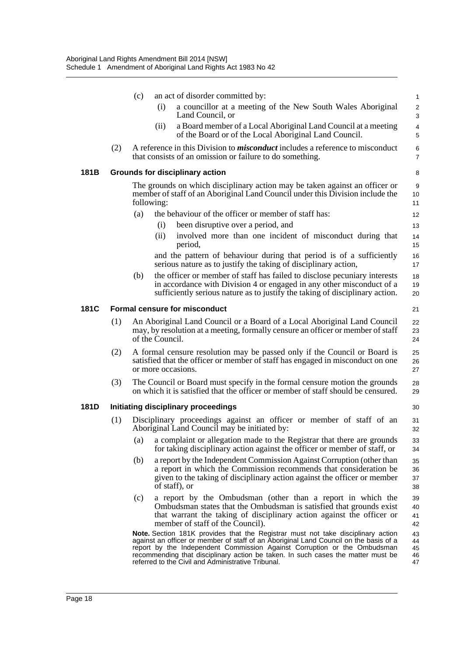|      |     | (c)                                                                                                                                                                            | an act of disorder committed by:                                                                                                                                                                                                                                                                                                                                                                | $\mathbf{1}$                 |  |  |
|------|-----|--------------------------------------------------------------------------------------------------------------------------------------------------------------------------------|-------------------------------------------------------------------------------------------------------------------------------------------------------------------------------------------------------------------------------------------------------------------------------------------------------------------------------------------------------------------------------------------------|------------------------------|--|--|
|      |     |                                                                                                                                                                                | (i)<br>a councillor at a meeting of the New South Wales Aboriginal<br>Land Council, or                                                                                                                                                                                                                                                                                                          | $\overline{2}$<br>3          |  |  |
|      |     |                                                                                                                                                                                | a Board member of a Local Aboriginal Land Council at a meeting<br>(ii)<br>of the Board or of the Local Aboriginal Land Council.                                                                                                                                                                                                                                                                 | 4<br>5                       |  |  |
|      | (2) |                                                                                                                                                                                | A reference in this Division to <i>misconduct</i> includes a reference to misconduct<br>that consists of an omission or failure to do something.                                                                                                                                                                                                                                                | 6<br>$\overline{7}$          |  |  |
| 181B |     |                                                                                                                                                                                | <b>Grounds for disciplinary action</b>                                                                                                                                                                                                                                                                                                                                                          | 8                            |  |  |
|      |     |                                                                                                                                                                                | The grounds on which disciplinary action may be taken against an officer or<br>member of staff of an Aboriginal Land Council under this Division include the<br>following:                                                                                                                                                                                                                      | $\boldsymbol{9}$<br>10<br>11 |  |  |
|      |     | (a)                                                                                                                                                                            | the behaviour of the officer or member of staff has:                                                                                                                                                                                                                                                                                                                                            | 12                           |  |  |
|      |     |                                                                                                                                                                                | been disruptive over a period, and<br>(i)                                                                                                                                                                                                                                                                                                                                                       | 13                           |  |  |
|      |     |                                                                                                                                                                                | (ii)<br>involved more than one incident of misconduct during that<br>period,                                                                                                                                                                                                                                                                                                                    | 14<br>15                     |  |  |
|      |     |                                                                                                                                                                                | and the pattern of behaviour during that period is of a sufficiently<br>serious nature as to justify the taking of disciplinary action,                                                                                                                                                                                                                                                         | 16<br>17                     |  |  |
|      |     | (b)                                                                                                                                                                            | the officer or member of staff has failed to disclose pecuniary interests                                                                                                                                                                                                                                                                                                                       | 18                           |  |  |
|      |     |                                                                                                                                                                                | in accordance with Division 4 or engaged in any other misconduct of a<br>sufficiently serious nature as to justify the taking of disciplinary action.                                                                                                                                                                                                                                           | 19<br>20                     |  |  |
| 181C |     |                                                                                                                                                                                | <b>Formal censure for misconduct</b>                                                                                                                                                                                                                                                                                                                                                            | 21                           |  |  |
|      | (1) | An Aboriginal Land Council or a Board of a Local Aboriginal Land Council<br>may, by resolution at a meeting, formally censure an officer or member of staff<br>of the Council. |                                                                                                                                                                                                                                                                                                                                                                                                 |                              |  |  |
|      | (2) |                                                                                                                                                                                | A formal censure resolution may be passed only if the Council or Board is<br>satisfied that the officer or member of staff has engaged in misconduct on one<br>or more occasions.                                                                                                                                                                                                               | 25<br>26<br>27               |  |  |
|      | (3) |                                                                                                                                                                                | The Council or Board must specify in the formal censure motion the grounds<br>on which it is satisfied that the officer or member of staff should be censured.                                                                                                                                                                                                                                  | 28<br>29                     |  |  |
| 181D |     |                                                                                                                                                                                | Initiating disciplinary proceedings                                                                                                                                                                                                                                                                                                                                                             | 30                           |  |  |
|      | (1) |                                                                                                                                                                                | Disciplinary proceedings against an officer or member of staff of an<br>Aboriginal Land Council may be initiated by:                                                                                                                                                                                                                                                                            | 31<br>32                     |  |  |
|      |     | (a)                                                                                                                                                                            | a complaint or allegation made to the Registrar that there are grounds<br>for taking disciplinary action against the officer or member of staff, or                                                                                                                                                                                                                                             | 33<br>34                     |  |  |
|      |     | (b)                                                                                                                                                                            | a report by the Independent Commission Against Corruption (other than<br>a report in which the Commission recommends that consideration be<br>given to the taking of disciplinary action against the officer or member<br>of staff), or                                                                                                                                                         | 35<br>36<br>37<br>38         |  |  |
|      |     | (c)                                                                                                                                                                            | a report by the Ombudsman (other than a report in which the<br>Ombudsman states that the Ombudsman is satisfied that grounds exist<br>that warrant the taking of disciplinary action against the officer or<br>member of staff of the Council).                                                                                                                                                 | 39<br>40<br>41<br>42         |  |  |
|      |     |                                                                                                                                                                                | Note. Section 181K provides that the Registrar must not take disciplinary action<br>against an officer or member of staff of an Aboriginal Land Council on the basis of a<br>report by the Independent Commission Against Corruption or the Ombudsman<br>recommending that disciplinary action be taken. In such cases the matter must be<br>referred to the Civil and Administrative Tribunal. | 43<br>44<br>45<br>46<br>47   |  |  |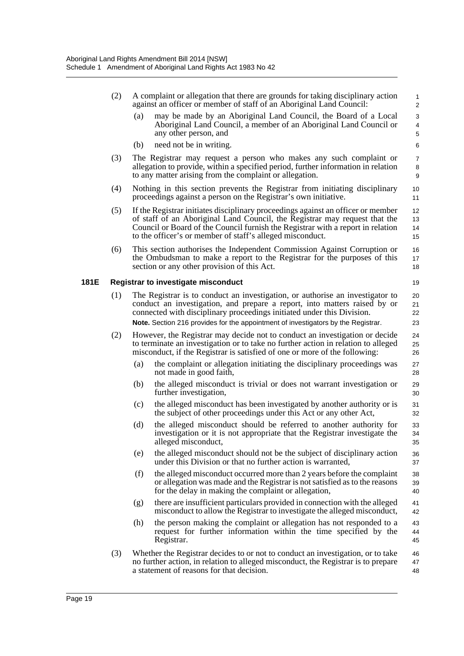|      | (2) | A complaint or allegation that there are grounds for taking disciplinary action<br>$\mathbf{1}$<br>against an officer or member of staff of an Aboriginal Land Council:<br>2                                                                                                                                                                |  |  |  |  |  |  |  |
|------|-----|---------------------------------------------------------------------------------------------------------------------------------------------------------------------------------------------------------------------------------------------------------------------------------------------------------------------------------------------|--|--|--|--|--|--|--|
|      |     | may be made by an Aboriginal Land Council, the Board of a Local<br>(a)<br>3<br>Aboriginal Land Council, a member of an Aboriginal Land Council or<br>4<br>any other person, and<br>5                                                                                                                                                        |  |  |  |  |  |  |  |
|      |     | need not be in writing.<br>(b)<br>6                                                                                                                                                                                                                                                                                                         |  |  |  |  |  |  |  |
|      | (3) | The Registrar may request a person who makes any such complaint or<br>$\overline{7}$<br>allegation to provide, within a specified period, further information in relation<br>8<br>to any matter arising from the complaint or allegation.<br>9                                                                                              |  |  |  |  |  |  |  |
|      | (4) | Nothing in this section prevents the Registrar from initiating disciplinary<br>proceedings against a person on the Registrar's own initiative.                                                                                                                                                                                              |  |  |  |  |  |  |  |
|      | (5) | If the Registrar initiates disciplinary proceedings against an officer or member<br>12<br>of staff of an Aboriginal Land Council, the Registrar may request that the<br>13<br>Council or Board of the Council furnish the Registrar with a report in relation<br>14<br>to the officer's or member of staff's alleged misconduct.<br>15      |  |  |  |  |  |  |  |
|      | (6) | This section authorises the Independent Commission Against Corruption or<br>16<br>the Ombudsman to make a report to the Registrar for the purposes of this<br>17<br>section or any other provision of this Act.<br>18                                                                                                                       |  |  |  |  |  |  |  |
| 181E |     | Registrar to investigate misconduct<br>19                                                                                                                                                                                                                                                                                                   |  |  |  |  |  |  |  |
|      | (1) | The Registrar is to conduct an investigation, or authorise an investigator to<br>20<br>conduct an investigation, and prepare a report, into matters raised by or<br>21<br>connected with disciplinary proceedings initiated under this Division.<br>Note. Section 216 provides for the appointment of investigators by the Registrar.<br>23 |  |  |  |  |  |  |  |
|      | (2) | However, the Registrar may decide not to conduct an investigation or decide<br>24<br>to terminate an investigation or to take no further action in relation to alleged<br>25<br>misconduct, if the Registrar is satisfied of one or more of the following:<br>26                                                                            |  |  |  |  |  |  |  |
|      |     | the complaint or allegation initiating the disciplinary proceedings was<br>(a)<br>27<br>not made in good faith,<br>28                                                                                                                                                                                                                       |  |  |  |  |  |  |  |
|      |     | the alleged misconduct is trivial or does not warrant investigation or<br>(b)<br>29<br>further investigation,<br>30                                                                                                                                                                                                                         |  |  |  |  |  |  |  |
|      |     | the alleged misconduct has been investigated by another authority or is<br>(c)<br>31<br>the subject of other proceedings under this Act or any other Act,<br>32                                                                                                                                                                             |  |  |  |  |  |  |  |
|      |     | (d)<br>the alleged misconduct should be referred to another authority for<br>33<br>investigation or it is not appropriate that the Registrar investigate the<br>34<br>alleged misconduct,<br>35                                                                                                                                             |  |  |  |  |  |  |  |
|      |     | the alleged misconduct should not be the subject of disciplinary action<br>(e)<br>36<br>under this Division or that no further action is warranted.<br>37                                                                                                                                                                                   |  |  |  |  |  |  |  |
|      |     | the alleged misconduct occurred more than 2 years before the complaint<br>(f)<br>38<br>or allegation was made and the Registrar is not satisfied as to the reasons<br>39<br>for the delay in making the complaint or allegation,<br>40                                                                                                      |  |  |  |  |  |  |  |
|      |     | there are insufficient particulars provided in connection with the alleged<br>(g)<br>41<br>misconduct to allow the Registrar to investigate the alleged misconduct,<br>42                                                                                                                                                                   |  |  |  |  |  |  |  |
|      |     | the person making the complaint or allegation has not responded to a<br>(h)<br>43<br>request for further information within the time specified by the<br>44<br>Registrar.<br>45                                                                                                                                                             |  |  |  |  |  |  |  |
|      | (3) | Whether the Registrar decides to or not to conduct an investigation, or to take<br>46<br>no further action, in relation to alleged misconduct, the Registrar is to prepare<br>47<br>a statement of reasons for that decision.<br>48                                                                                                         |  |  |  |  |  |  |  |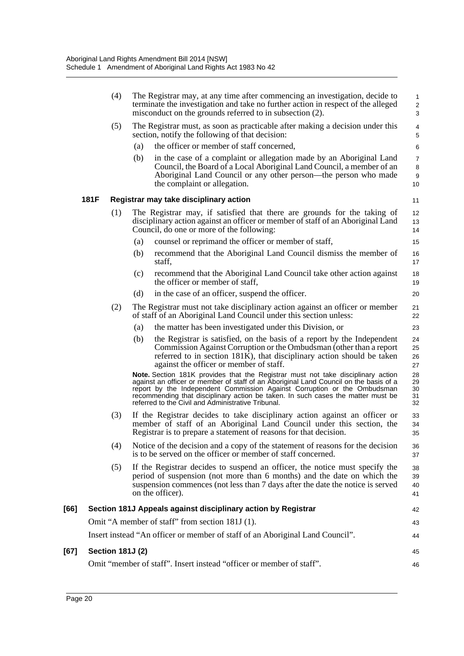|      | (4)                     |     | The Registrar may, at any time after commencing an investigation, decide to<br>terminate the investigation and take no further action in respect of the alleged<br>misconduct on the grounds referred to in subsection (2).                                                                                                                                                                     | 1<br>2<br>3                    |
|------|-------------------------|-----|-------------------------------------------------------------------------------------------------------------------------------------------------------------------------------------------------------------------------------------------------------------------------------------------------------------------------------------------------------------------------------------------------|--------------------------------|
|      | (5)                     |     | The Registrar must, as soon as practicable after making a decision under this<br>section, notify the following of that decision:                                                                                                                                                                                                                                                                | 4<br>$\mathbf 5$               |
|      |                         | (a) | the officer or member of staff concerned,                                                                                                                                                                                                                                                                                                                                                       | 6                              |
|      |                         | (b) | in the case of a complaint or allegation made by an Aboriginal Land<br>Council, the Board of a Local Aboriginal Land Council, a member of an<br>Aboriginal Land Council or any other person—the person who made<br>the complaint or allegation.                                                                                                                                                 | $\overline{7}$<br>8<br>9<br>10 |
|      | <b>181F</b>             |     | Registrar may take disciplinary action                                                                                                                                                                                                                                                                                                                                                          | 11                             |
|      | (1)                     |     | The Registrar may, if satisfied that there are grounds for the taking of<br>disciplinary action against an officer or member of staff of an Aboriginal Land<br>Council, do one or more of the following:                                                                                                                                                                                        | 12<br>13<br>14                 |
|      |                         | (a) | counsel or reprimand the officer or member of staff,                                                                                                                                                                                                                                                                                                                                            | 15                             |
|      |                         | (b) | recommend that the Aboriginal Land Council dismiss the member of<br>staff,                                                                                                                                                                                                                                                                                                                      | 16<br>17                       |
|      |                         | (c) | recommend that the Aboriginal Land Council take other action against<br>the officer or member of staff,                                                                                                                                                                                                                                                                                         | 18<br>19                       |
|      |                         | (d) | in the case of an officer, suspend the officer.                                                                                                                                                                                                                                                                                                                                                 | 20                             |
|      | (2)                     |     | The Registrar must not take disciplinary action against an officer or member<br>of staff of an Aboriginal Land Council under this section unless:                                                                                                                                                                                                                                               | 21<br>22                       |
|      |                         | (a) | the matter has been investigated under this Division, or                                                                                                                                                                                                                                                                                                                                        | 23                             |
|      |                         | (b) | the Registrar is satisfied, on the basis of a report by the Independent<br>Commission Against Corruption or the Ombudsman (other than a report<br>referred to in section 181K), that disciplinary action should be taken<br>against the officer or member of staff.                                                                                                                             | 24<br>25<br>26<br>27           |
|      |                         |     | Note. Section 181K provides that the Registrar must not take disciplinary action<br>against an officer or member of staff of an Aboriginal Land Council on the basis of a<br>report by the Independent Commission Against Corruption or the Ombudsman<br>recommending that disciplinary action be taken. In such cases the matter must be<br>referred to the Civil and Administrative Tribunal. | 28<br>29<br>30<br>31<br>32     |
|      | (3)                     |     | If the Registrar decides to take disciplinary action against an officer or<br>member of staff of an Aboriginal Land Council under this section, the<br>Registrar is to prepare a statement of reasons for that decision.                                                                                                                                                                        | 33<br>34<br>35                 |
|      | (4)                     |     | Notice of the decision and a copy of the statement of reasons for the decision<br>is to be served on the officer or member of staff concerned.                                                                                                                                                                                                                                                  | 36<br>37                       |
|      | (5)                     |     | If the Registrar decides to suspend an officer, the notice must specify the<br>period of suspension (not more than 6 months) and the date on which the<br>suspension commences (not less than 7 days after the date the notice is served<br>on the officer).                                                                                                                                    | 38<br>39<br>40<br>41           |
| [66] |                         |     | Section 181J Appeals against disciplinary action by Registrar                                                                                                                                                                                                                                                                                                                                   | 42                             |
|      |                         |     | Omit "A member of staff" from section 181J (1).                                                                                                                                                                                                                                                                                                                                                 | 43                             |
|      |                         |     | Insert instead "An officer or member of staff of an Aboriginal Land Council".                                                                                                                                                                                                                                                                                                                   | 44                             |
| [67] | <b>Section 181J (2)</b> |     |                                                                                                                                                                                                                                                                                                                                                                                                 | 45                             |
|      |                         |     | Omit "member of staff". Insert instead "officer or member of staff".                                                                                                                                                                                                                                                                                                                            | 46                             |
|      |                         |     |                                                                                                                                                                                                                                                                                                                                                                                                 |                                |

**[67]**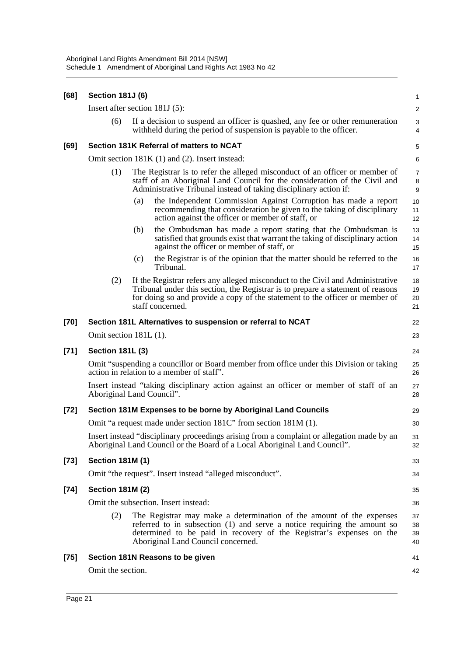| [68]   | <b>Section 181J (6)</b>                                                                                                              |     |                                                                                                                                                                                                                                                                       | 1                    |  |  |  |
|--------|--------------------------------------------------------------------------------------------------------------------------------------|-----|-----------------------------------------------------------------------------------------------------------------------------------------------------------------------------------------------------------------------------------------------------------------------|----------------------|--|--|--|
|        | Insert after section 181J (5):                                                                                                       |     |                                                                                                                                                                                                                                                                       | $\overline{a}$       |  |  |  |
|        | (6)                                                                                                                                  |     | If a decision to suspend an officer is quashed, any fee or other remuneration<br>withheld during the period of suspension is payable to the officer.                                                                                                                  | 3<br>4               |  |  |  |
| $[69]$ |                                                                                                                                      |     | Section 181K Referral of matters to NCAT                                                                                                                                                                                                                              | 5                    |  |  |  |
|        | Omit section 181K (1) and (2). Insert instead:                                                                                       |     |                                                                                                                                                                                                                                                                       |                      |  |  |  |
|        | (1)                                                                                                                                  |     | The Registrar is to refer the alleged misconduct of an officer or member of<br>staff of an Aboriginal Land Council for the consideration of the Civil and<br>Administrative Tribunal instead of taking disciplinary action if:                                        |                      |  |  |  |
|        |                                                                                                                                      | (a) | the Independent Commission Against Corruption has made a report<br>recommending that consideration be given to the taking of disciplinary<br>action against the officer or member of staff, or                                                                        | 10<br>11<br>12       |  |  |  |
|        |                                                                                                                                      | (b) | the Ombudsman has made a report stating that the Ombudsman is<br>satisfied that grounds exist that warrant the taking of disciplinary action<br>against the officer or member of staff, or                                                                            | 13<br>14<br>15       |  |  |  |
|        |                                                                                                                                      | (c) | the Registrar is of the opinion that the matter should be referred to the<br>Tribunal.                                                                                                                                                                                | 16<br>17             |  |  |  |
|        | (2)                                                                                                                                  |     | If the Registrar refers any alleged misconduct to the Civil and Administrative<br>Tribunal under this section, the Registrar is to prepare a statement of reasons<br>for doing so and provide a copy of the statement to the officer or member of<br>staff concerned. | 18<br>19<br>20<br>21 |  |  |  |
| $[70]$ |                                                                                                                                      |     | Section 181L Alternatives to suspension or referral to NCAT                                                                                                                                                                                                           | 22                   |  |  |  |
|        | Omit section 181L (1).                                                                                                               |     |                                                                                                                                                                                                                                                                       | 23                   |  |  |  |
| $[71]$ | <b>Section 181L (3)</b>                                                                                                              |     |                                                                                                                                                                                                                                                                       |                      |  |  |  |
|        | Omit "suspending a councillor or Board member from office under this Division or taking<br>action in relation to a member of staff". |     |                                                                                                                                                                                                                                                                       |                      |  |  |  |
|        | Insert instead "taking disciplinary action against an officer or member of staff of an<br>Aboriginal Land Council".                  |     |                                                                                                                                                                                                                                                                       |                      |  |  |  |
| $[72]$ |                                                                                                                                      |     | Section 181M Expenses to be borne by Aboriginal Land Councils                                                                                                                                                                                                         | 29                   |  |  |  |
|        |                                                                                                                                      |     | Omit "a request made under section 181C" from section 181M (1).                                                                                                                                                                                                       | 30                   |  |  |  |
|        |                                                                                                                                      |     | Insert instead "disciplinary proceedings arising from a complaint or allegation made by an<br>Aboriginal Land Council or the Board of a Local Aboriginal Land Council".                                                                                               | 31<br>32             |  |  |  |
| $[73]$ | <b>Section 181M (1)</b>                                                                                                              |     |                                                                                                                                                                                                                                                                       | 33                   |  |  |  |
|        |                                                                                                                                      |     | Omit "the request". Insert instead "alleged misconduct".                                                                                                                                                                                                              | 34                   |  |  |  |
| $[74]$ | <b>Section 181M (2)</b>                                                                                                              |     |                                                                                                                                                                                                                                                                       | 35                   |  |  |  |
|        |                                                                                                                                      |     | Omit the subsection. Insert instead:                                                                                                                                                                                                                                  | 36                   |  |  |  |
|        | (2)                                                                                                                                  |     | The Registrar may make a determination of the amount of the expenses<br>referred to in subsection (1) and serve a notice requiring the amount so<br>determined to be paid in recovery of the Registrar's expenses on the<br>Aboriginal Land Council concerned.        | 37<br>38<br>39<br>40 |  |  |  |
| $[75]$ |                                                                                                                                      |     | Section 181N Reasons to be given                                                                                                                                                                                                                                      | 41                   |  |  |  |
|        | Omit the section.                                                                                                                    |     |                                                                                                                                                                                                                                                                       | 42                   |  |  |  |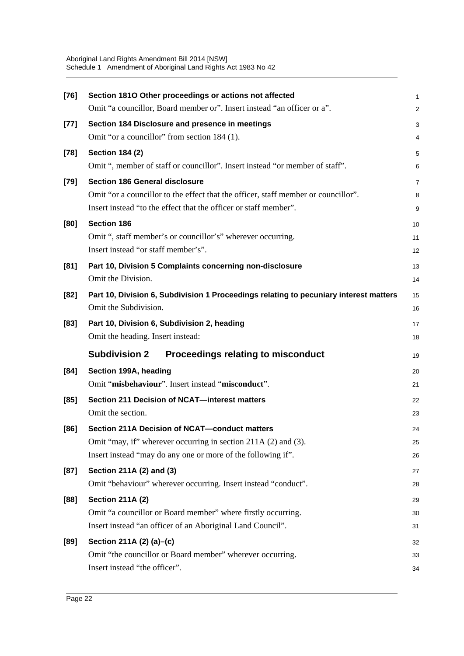| $[76]$ | Section 1810 Other proceedings or actions not affected                                | 1  |
|--------|---------------------------------------------------------------------------------------|----|
|        | Omit "a councillor, Board member or". Insert instead "an officer or a".               | 2  |
| $[77]$ | Section 184 Disclosure and presence in meetings                                       | 3  |
|        | Omit "or a councillor" from section 184 (1).                                          | 4  |
| $[78]$ | <b>Section 184 (2)</b>                                                                | 5  |
|        | Omit ", member of staff or councillor". Insert instead "or member of staff".          | 6  |
| [79]   | <b>Section 186 General disclosure</b>                                                 | 7  |
|        | Omit "or a councillor to the effect that the officer, staff member or councillor".    | 8  |
|        | Insert instead "to the effect that the officer or staff member".                      | 9  |
| [80]   | <b>Section 186</b>                                                                    | 10 |
|        | Omit ", staff member's or councillor's" wherever occurring.                           | 11 |
|        | Insert instead "or staff member's".                                                   | 12 |
| [81]   | Part 10, Division 5 Complaints concerning non-disclosure                              | 13 |
|        | Omit the Division.                                                                    | 14 |
| [82]   | Part 10, Division 6, Subdivision 1 Proceedings relating to pecuniary interest matters | 15 |
|        | Omit the Subdivision.                                                                 | 16 |
| $[83]$ | Part 10, Division 6, Subdivision 2, heading                                           | 17 |
|        | Omit the heading. Insert instead:                                                     | 18 |
|        | <b>Subdivision 2</b><br><b>Proceedings relating to misconduct</b>                     | 19 |
| [84]   | Section 199A, heading                                                                 | 20 |
|        | Omit "misbehaviour". Insert instead "misconduct".                                     | 21 |
| [85]   | Section 211 Decision of NCAT-interest matters                                         | 22 |
|        | Omit the section.                                                                     | 23 |
| [86]   | <b>Section 211A Decision of NCAT-conduct matters</b>                                  | 24 |
|        | Omit "may, if" wherever occurring in section 211A (2) and (3).                        | 25 |
|        | Insert instead "may do any one or more of the following if".                          | 26 |
| $[87]$ | Section 211A (2) and (3)                                                              | 27 |
|        | Omit "behaviour" wherever occurring. Insert instead "conduct".                        | 28 |
| [88]   | <b>Section 211A (2)</b>                                                               | 29 |
|        | Omit "a councillor or Board member" where firstly occurring.                          | 30 |
|        | Insert instead "an officer of an Aboriginal Land Council".                            | 31 |
| $[89]$ | Section 211A (2) (a)-(c)                                                              | 32 |
|        | Omit "the councillor or Board member" wherever occurring.                             | 33 |
|        | Insert instead "the officer".                                                         | 34 |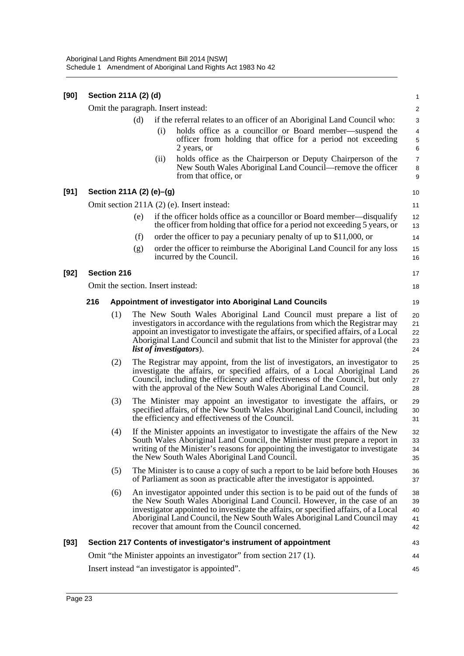| [90] | Section 211A (2) (d) |                          |     |                                                                                                                                        |                                                                                                                                                                                                                                                                                                                                                                                 |                            |  |  |  |
|------|----------------------|--------------------------|-----|----------------------------------------------------------------------------------------------------------------------------------------|---------------------------------------------------------------------------------------------------------------------------------------------------------------------------------------------------------------------------------------------------------------------------------------------------------------------------------------------------------------------------------|----------------------------|--|--|--|
|      |                      |                          |     |                                                                                                                                        | Omit the paragraph. Insert instead:                                                                                                                                                                                                                                                                                                                                             | $\overline{\mathbf{c}}$    |  |  |  |
|      |                      |                          | (d) |                                                                                                                                        | if the referral relates to an officer of an Aboriginal Land Council who:                                                                                                                                                                                                                                                                                                        | 3                          |  |  |  |
|      |                      |                          | (i) | holds office as a councillor or Board member—suspend the<br>officer from holding that office for a period not exceeding<br>2 years, or | $\overline{\mathbf{4}}$<br>5<br>6                                                                                                                                                                                                                                                                                                                                               |                            |  |  |  |
|      |                      |                          |     | (ii)                                                                                                                                   | holds office as the Chairperson or Deputy Chairperson of the<br>New South Wales Aboriginal Land Council—remove the officer<br>from that office, or                                                                                                                                                                                                                              | $\overline{7}$<br>8<br>9   |  |  |  |
| [91] |                      | Section 211A (2) (e)-(g) |     |                                                                                                                                        |                                                                                                                                                                                                                                                                                                                                                                                 | 10                         |  |  |  |
|      |                      |                          |     |                                                                                                                                        | Omit section 211A (2) (e). Insert instead:                                                                                                                                                                                                                                                                                                                                      | 11                         |  |  |  |
|      |                      |                          | (e) |                                                                                                                                        | if the officer holds office as a councillor or Board member—disqualify<br>the officer from holding that office for a period not exceeding 5 years, or                                                                                                                                                                                                                           | 12<br>13                   |  |  |  |
|      |                      |                          | (f) |                                                                                                                                        | order the officer to pay a pecuniary penalty of up to \$11,000, or                                                                                                                                                                                                                                                                                                              | 14                         |  |  |  |
|      |                      |                          | (g) |                                                                                                                                        | order the officer to reimburse the Aboriginal Land Council for any loss<br>incurred by the Council.                                                                                                                                                                                                                                                                             | 15<br>16                   |  |  |  |
| [92] |                      | <b>Section 216</b>       |     |                                                                                                                                        |                                                                                                                                                                                                                                                                                                                                                                                 | 17                         |  |  |  |
|      |                      |                          |     |                                                                                                                                        | Omit the section. Insert instead:                                                                                                                                                                                                                                                                                                                                               | 18                         |  |  |  |
|      | 216                  |                          |     | Appointment of investigator into Aboriginal Land Councils                                                                              |                                                                                                                                                                                                                                                                                                                                                                                 |                            |  |  |  |
|      |                      | (1)                      |     |                                                                                                                                        | The New South Wales Aboriginal Land Council must prepare a list of<br>investigators in accordance with the regulations from which the Registrar may<br>appoint an investigator to investigate the affairs, or specified affairs, of a Local<br>Aboriginal Land Council and submit that list to the Minister for approval (the<br><i>list of investigators</i> ).                | 20<br>21<br>22<br>23<br>24 |  |  |  |
|      |                      | (2)                      |     |                                                                                                                                        | The Registrar may appoint, from the list of investigators, an investigator to<br>investigate the affairs, or specified affairs, of a Local Aboriginal Land<br>Council, including the efficiency and effectiveness of the Council, but only<br>with the approval of the New South Wales Aboriginal Land Council.                                                                 | 25<br>26<br>27<br>28       |  |  |  |
|      |                      | (3)                      |     |                                                                                                                                        | The Minister may appoint an investigator to investigate the affairs, or<br>specified affairs, of the New South Wales Aboriginal Land Council, including<br>the efficiency and effectiveness of the Council.                                                                                                                                                                     | 29<br>30<br>31             |  |  |  |
|      |                      | (4)                      |     |                                                                                                                                        | If the Minister appoints an investigator to investigate the affairs of the New<br>South Wales Aboriginal Land Council, the Minister must prepare a report in<br>writing of the Minister's reasons for appointing the investigator to investigate<br>the New South Wales Aboriginal Land Council.                                                                                | 32<br>33<br>34<br>35       |  |  |  |
|      |                      | (5)                      |     |                                                                                                                                        | The Minister is to cause a copy of such a report to be laid before both Houses<br>of Parliament as soon as practicable after the investigator is appointed.                                                                                                                                                                                                                     | 36<br>37                   |  |  |  |
|      |                      | (6)                      |     |                                                                                                                                        | An investigator appointed under this section is to be paid out of the funds of<br>the New South Wales Aboriginal Land Council. However, in the case of an<br>investigator appointed to investigate the affairs, or specified affairs, of a Local<br>Aboriginal Land Council, the New South Wales Aboriginal Land Council may<br>recover that amount from the Council concerned. | 38<br>39<br>40<br>41<br>42 |  |  |  |
| [93] |                      |                          |     |                                                                                                                                        | Section 217 Contents of investigator's instrument of appointment                                                                                                                                                                                                                                                                                                                | 43                         |  |  |  |
|      |                      |                          |     |                                                                                                                                        | Omit "the Minister appoints an investigator" from section 217 (1).                                                                                                                                                                                                                                                                                                              | 44                         |  |  |  |
|      |                      |                          |     |                                                                                                                                        | Insert instead "an investigator is appointed".                                                                                                                                                                                                                                                                                                                                  | 45                         |  |  |  |
|      |                      |                          |     |                                                                                                                                        |                                                                                                                                                                                                                                                                                                                                                                                 |                            |  |  |  |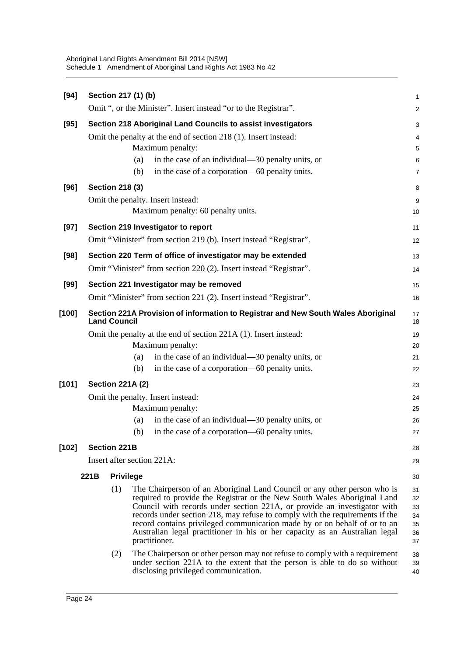| $[94]$  |                                                                                                          |                        | Section 217 (1) (b)     |                                                                                                                                                                                                                                                                                                                                                                                                                                                                                                                                                                              | $\mathbf{1}$                                 |  |  |  |
|---------|----------------------------------------------------------------------------------------------------------|------------------------|-------------------------|------------------------------------------------------------------------------------------------------------------------------------------------------------------------------------------------------------------------------------------------------------------------------------------------------------------------------------------------------------------------------------------------------------------------------------------------------------------------------------------------------------------------------------------------------------------------------|----------------------------------------------|--|--|--|
|         |                                                                                                          |                        |                         | Omit ", or the Minister". Insert instead "or to the Registrar".                                                                                                                                                                                                                                                                                                                                                                                                                                                                                                              | $\overline{2}$                               |  |  |  |
| $[95]$  |                                                                                                          |                        |                         | Section 218 Aboriginal Land Councils to assist investigators                                                                                                                                                                                                                                                                                                                                                                                                                                                                                                                 | 3                                            |  |  |  |
|         |                                                                                                          |                        |                         | Omit the penalty at the end of section 218 (1). Insert instead:                                                                                                                                                                                                                                                                                                                                                                                                                                                                                                              | 4                                            |  |  |  |
|         |                                                                                                          |                        |                         | Maximum penalty:                                                                                                                                                                                                                                                                                                                                                                                                                                                                                                                                                             | 5                                            |  |  |  |
|         |                                                                                                          |                        | (a)                     | in the case of an individual—30 penalty units, or                                                                                                                                                                                                                                                                                                                                                                                                                                                                                                                            | 6                                            |  |  |  |
|         |                                                                                                          |                        | (b)                     | in the case of a corporation—60 penalty units.                                                                                                                                                                                                                                                                                                                                                                                                                                                                                                                               | $\overline{7}$                               |  |  |  |
| [96]    |                                                                                                          | <b>Section 218 (3)</b> |                         |                                                                                                                                                                                                                                                                                                                                                                                                                                                                                                                                                                              | 8                                            |  |  |  |
|         |                                                                                                          |                        |                         | Omit the penalty. Insert instead:                                                                                                                                                                                                                                                                                                                                                                                                                                                                                                                                            | $\boldsymbol{9}$                             |  |  |  |
|         |                                                                                                          |                        |                         | Maximum penalty: 60 penalty units.                                                                                                                                                                                                                                                                                                                                                                                                                                                                                                                                           | 10                                           |  |  |  |
| $[97]$  | Section 219 Investigator to report                                                                       |                        |                         |                                                                                                                                                                                                                                                                                                                                                                                                                                                                                                                                                                              |                                              |  |  |  |
|         |                                                                                                          |                        |                         | Omit "Minister" from section 219 (b). Insert instead "Registrar".                                                                                                                                                                                                                                                                                                                                                                                                                                                                                                            | 12                                           |  |  |  |
| $[98]$  |                                                                                                          |                        |                         | Section 220 Term of office of investigator may be extended                                                                                                                                                                                                                                                                                                                                                                                                                                                                                                                   | 13                                           |  |  |  |
|         |                                                                                                          |                        |                         | Omit "Minister" from section 220 (2). Insert instead "Registrar".                                                                                                                                                                                                                                                                                                                                                                                                                                                                                                            | 14                                           |  |  |  |
| [99]    |                                                                                                          |                        |                         | Section 221 Investigator may be removed                                                                                                                                                                                                                                                                                                                                                                                                                                                                                                                                      | 15                                           |  |  |  |
|         |                                                                                                          |                        |                         | Omit "Minister" from section 221 (2). Insert instead "Registrar".                                                                                                                                                                                                                                                                                                                                                                                                                                                                                                            | 16                                           |  |  |  |
| $[100]$ | Section 221A Provision of information to Registrar and New South Wales Aboriginal<br><b>Land Council</b> |                        |                         |                                                                                                                                                                                                                                                                                                                                                                                                                                                                                                                                                                              | 17<br>18                                     |  |  |  |
|         |                                                                                                          |                        |                         | Omit the penalty at the end of section 221A (1). Insert instead:                                                                                                                                                                                                                                                                                                                                                                                                                                                                                                             | 19                                           |  |  |  |
|         |                                                                                                          |                        |                         | Maximum penalty:                                                                                                                                                                                                                                                                                                                                                                                                                                                                                                                                                             | 20                                           |  |  |  |
|         |                                                                                                          |                        | (a)                     | in the case of an individual—30 penalty units, or                                                                                                                                                                                                                                                                                                                                                                                                                                                                                                                            | 21                                           |  |  |  |
|         |                                                                                                          |                        | (b)                     | in the case of a corporation—60 penalty units.                                                                                                                                                                                                                                                                                                                                                                                                                                                                                                                               | 22                                           |  |  |  |
| [101]   |                                                                                                          |                        | <b>Section 221A (2)</b> |                                                                                                                                                                                                                                                                                                                                                                                                                                                                                                                                                                              | 23                                           |  |  |  |
|         |                                                                                                          |                        |                         | Omit the penalty. Insert instead:                                                                                                                                                                                                                                                                                                                                                                                                                                                                                                                                            | 24                                           |  |  |  |
|         |                                                                                                          |                        |                         | Maximum penalty:                                                                                                                                                                                                                                                                                                                                                                                                                                                                                                                                                             | 25                                           |  |  |  |
|         |                                                                                                          |                        | (a)                     | in the case of an individual—30 penalty units, or                                                                                                                                                                                                                                                                                                                                                                                                                                                                                                                            | 26                                           |  |  |  |
|         |                                                                                                          |                        | (b)                     | in the case of a corporation-60 penalty units.                                                                                                                                                                                                                                                                                                                                                                                                                                                                                                                               | 27                                           |  |  |  |
| [102]   |                                                                                                          | <b>Section 221B</b>    |                         |                                                                                                                                                                                                                                                                                                                                                                                                                                                                                                                                                                              | 28                                           |  |  |  |
|         |                                                                                                          |                        |                         | Insert after section 221A:                                                                                                                                                                                                                                                                                                                                                                                                                                                                                                                                                   | 29                                           |  |  |  |
|         | 221B                                                                                                     | <b>Privilege</b>       |                         |                                                                                                                                                                                                                                                                                                                                                                                                                                                                                                                                                                              | 30                                           |  |  |  |
|         |                                                                                                          | (1)<br>(2)             |                         | The Chairperson of an Aboriginal Land Council or any other person who is<br>required to provide the Registrar or the New South Wales Aboriginal Land<br>Council with records under section 221A, or provide an investigator with<br>records under section 218, may refuse to comply with the requirements if the<br>record contains privileged communication made by or on behalf of or to an<br>Australian legal practitioner in his or her capacity as an Australian legal<br>practitioner.<br>The Chairperson or other person may not refuse to comply with a requirement | 31<br>32<br>33<br>34<br>35<br>36<br>37<br>38 |  |  |  |
|         |                                                                                                          |                        |                         | under section 221A to the extent that the person is able to do so without<br>disclosing privileged communication.                                                                                                                                                                                                                                                                                                                                                                                                                                                            | 39<br>40                                     |  |  |  |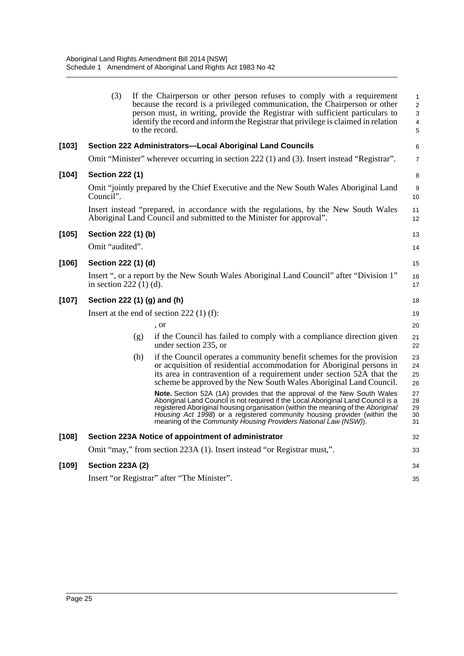|         | (3)                         |     | If the Chairperson or other person refuses to comply with a requirement<br>because the record is a privileged communication, the Chairperson or other<br>person must, in writing, provide the Registrar with sufficient particulars to<br>identify the record and inform the Registrar that privilege is claimed in relation<br>to the record.                                                  | 1<br>$\overline{2}$<br>3<br>$\overline{4}$<br>5 |
|---------|-----------------------------|-----|-------------------------------------------------------------------------------------------------------------------------------------------------------------------------------------------------------------------------------------------------------------------------------------------------------------------------------------------------------------------------------------------------|-------------------------------------------------|
| $[103]$ |                             |     | Section 222 Administrators-Local Aboriginal Land Councils                                                                                                                                                                                                                                                                                                                                       | 6                                               |
|         |                             |     | Omit "Minister" wherever occurring in section 222 (1) and (3). Insert instead "Registrar".                                                                                                                                                                                                                                                                                                      | $\overline{7}$                                  |
| $[104]$ | <b>Section 222 (1)</b>      |     |                                                                                                                                                                                                                                                                                                                                                                                                 | 8                                               |
|         | Council".                   |     | Omit "jointly prepared by the Chief Executive and the New South Wales Aboriginal Land                                                                                                                                                                                                                                                                                                           | 9<br>10                                         |
|         |                             |     | Insert instead "prepared, in accordance with the regulations, by the New South Wales<br>Aboriginal Land Council and submitted to the Minister for approval".                                                                                                                                                                                                                                    | 11<br>12                                        |
| [105]   | Section 222 (1) (b)         |     |                                                                                                                                                                                                                                                                                                                                                                                                 | 13                                              |
|         | Omit "audited".             |     |                                                                                                                                                                                                                                                                                                                                                                                                 | 14                                              |
| [106]   | Section 222 (1) (d)         |     |                                                                                                                                                                                                                                                                                                                                                                                                 | 15                                              |
|         | in section $222(1)(d)$ .    |     | Insert ", or a report by the New South Wales Aboriginal Land Council" after "Division 1"                                                                                                                                                                                                                                                                                                        | 16<br>17                                        |
| $[107]$ | Section 222 (1) (g) and (h) |     |                                                                                                                                                                                                                                                                                                                                                                                                 | 18                                              |
|         |                             |     | Insert at the end of section $222(1)(f)$ :                                                                                                                                                                                                                                                                                                                                                      | 19                                              |
|         |                             |     | , or                                                                                                                                                                                                                                                                                                                                                                                            | 20                                              |
|         |                             | (g) | if the Council has failed to comply with a compliance direction given<br>under section 235, or                                                                                                                                                                                                                                                                                                  | 21<br>22                                        |
|         |                             | (h) | if the Council operates a community benefit schemes for the provision<br>or acquisition of residential accommodation for Aboriginal persons in<br>its area in contravention of a requirement under section 52A that the<br>scheme be approved by the New South Wales Aboriginal Land Council.                                                                                                   | 23<br>24<br>25<br>26                            |
|         |                             |     | Note. Section 52A (1A) provides that the approval of the New South Wales<br>Aboriginal Land Council is not required if the Local Aboriginal Land Council is a<br>registered Aboriginal housing organisation (within the meaning of the Aboriginal<br>Housing Act 1998) or a registered community housing provider (within the<br>meaning of the Community Housing Providers National Law (NSW). | 27<br>28<br>29<br>30<br>31                      |
| $[108]$ |                             |     | Section 223A Notice of appointment of administrator                                                                                                                                                                                                                                                                                                                                             | 32                                              |
|         |                             |     | Omit "may," from section 223A (1). Insert instead "or Registrar must,".                                                                                                                                                                                                                                                                                                                         | 33                                              |
| $[109]$ | <b>Section 223A (2)</b>     |     |                                                                                                                                                                                                                                                                                                                                                                                                 | 34                                              |
|         |                             |     | Insert "or Registrar" after "The Minister".                                                                                                                                                                                                                                                                                                                                                     | 35                                              |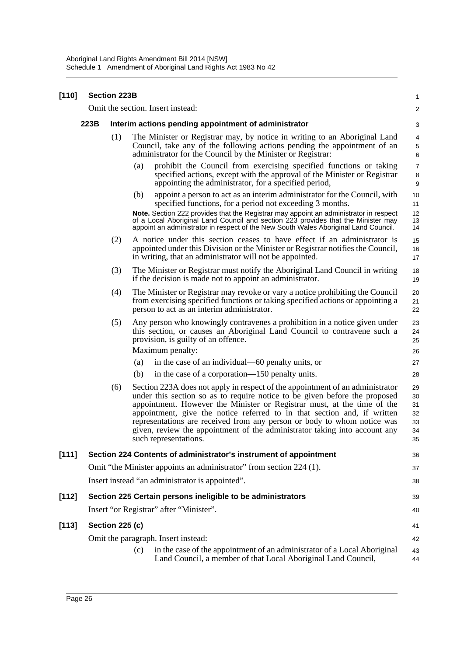| $[110]$ |      | <b>Section 223B</b>                                  |                                                                                                                                                                                                                                                                                                                                                                                                                                                                                                      | 1                                      |  |  |  |  |
|---------|------|------------------------------------------------------|------------------------------------------------------------------------------------------------------------------------------------------------------------------------------------------------------------------------------------------------------------------------------------------------------------------------------------------------------------------------------------------------------------------------------------------------------------------------------------------------------|----------------------------------------|--|--|--|--|
|         |      |                                                      | Omit the section. Insert instead:                                                                                                                                                                                                                                                                                                                                                                                                                                                                    | 2                                      |  |  |  |  |
|         | 223B | Interim actions pending appointment of administrator |                                                                                                                                                                                                                                                                                                                                                                                                                                                                                                      |                                        |  |  |  |  |
|         |      | (1)                                                  | The Minister or Registrar may, by notice in writing to an Aboriginal Land<br>Council, take any of the following actions pending the appointment of an<br>administrator for the Council by the Minister or Registrar:                                                                                                                                                                                                                                                                                 | 4<br>$\,$ 5 $\,$<br>6                  |  |  |  |  |
|         |      |                                                      | prohibit the Council from exercising specified functions or taking<br>(a)<br>specified actions, except with the approval of the Minister or Registrar<br>appointing the administrator, for a specified period,                                                                                                                                                                                                                                                                                       | $\overline{7}$<br>8<br>9               |  |  |  |  |
|         |      |                                                      | (b)<br>appoint a person to act as an interim administrator for the Council, with<br>specified functions, for a period not exceeding 3 months.                                                                                                                                                                                                                                                                                                                                                        | 10<br>11                               |  |  |  |  |
|         |      |                                                      | Note. Section 222 provides that the Registrar may appoint an administrator in respect<br>of a Local Aboriginal Land Council and section 223 provides that the Minister may<br>appoint an administrator in respect of the New South Wales Aboriginal Land Council.                                                                                                                                                                                                                                    | 12<br>13<br>14                         |  |  |  |  |
|         |      | (2)                                                  | A notice under this section ceases to have effect if an administrator is<br>appointed under this Division or the Minister or Registrar notifies the Council,<br>in writing, that an administrator will not be appointed.                                                                                                                                                                                                                                                                             | 15<br>16<br>17                         |  |  |  |  |
|         |      | (3)                                                  | The Minister or Registrar must notify the Aboriginal Land Council in writing<br>if the decision is made not to appoint an administrator.                                                                                                                                                                                                                                                                                                                                                             | 18<br>19                               |  |  |  |  |
|         |      | (4)                                                  | The Minister or Registrar may revoke or vary a notice prohibiting the Council<br>from exercising specified functions or taking specified actions or appointing a<br>person to act as an interim administrator.                                                                                                                                                                                                                                                                                       | 20<br>21<br>22                         |  |  |  |  |
|         |      | (5)                                                  | Any person who knowingly contravenes a prohibition in a notice given under<br>this section, or causes an Aboriginal Land Council to contravene such a<br>provision, is guilty of an offence.<br>Maximum penalty:                                                                                                                                                                                                                                                                                     | 23<br>24<br>25<br>26                   |  |  |  |  |
|         |      |                                                      | in the case of an individual—60 penalty units, or<br>(a)                                                                                                                                                                                                                                                                                                                                                                                                                                             | 27                                     |  |  |  |  |
|         |      |                                                      | (b)<br>in the case of a corporation—150 penalty units.                                                                                                                                                                                                                                                                                                                                                                                                                                               | 28                                     |  |  |  |  |
|         |      | (6)                                                  | Section 223A does not apply in respect of the appointment of an administrator<br>under this section so as to require notice to be given before the proposed<br>appointment. However the Minister or Registrar must, at the time of the<br>appointment, give the notice referred to in that section and, if written<br>representations are received from any person or body to whom notice was<br>given, review the appointment of the administrator taking into account any<br>such representations. | 29<br>30<br>31<br>32<br>33<br>34<br>35 |  |  |  |  |
| [111]   |      |                                                      | Section 224 Contents of administrator's instrument of appointment                                                                                                                                                                                                                                                                                                                                                                                                                                    | 36                                     |  |  |  |  |
|         |      |                                                      | Omit "the Minister appoints an administrator" from section 224 (1).                                                                                                                                                                                                                                                                                                                                                                                                                                  | 37                                     |  |  |  |  |
|         |      |                                                      | Insert instead "an administrator is appointed".                                                                                                                                                                                                                                                                                                                                                                                                                                                      | 38                                     |  |  |  |  |
| [112]   |      |                                                      | Section 225 Certain persons ineligible to be administrators                                                                                                                                                                                                                                                                                                                                                                                                                                          | 39                                     |  |  |  |  |
|         |      |                                                      | Insert "or Registrar" after "Minister".                                                                                                                                                                                                                                                                                                                                                                                                                                                              | 40                                     |  |  |  |  |
| $[113]$ |      | <b>Section 225 (c)</b>                               |                                                                                                                                                                                                                                                                                                                                                                                                                                                                                                      | 41                                     |  |  |  |  |
|         |      |                                                      | Omit the paragraph. Insert instead:                                                                                                                                                                                                                                                                                                                                                                                                                                                                  | 42                                     |  |  |  |  |
|         |      |                                                      | in the case of the appointment of an administrator of a Local Aboriginal<br>(c)<br>Land Council, a member of that Local Aboriginal Land Council,                                                                                                                                                                                                                                                                                                                                                     | 43<br>44                               |  |  |  |  |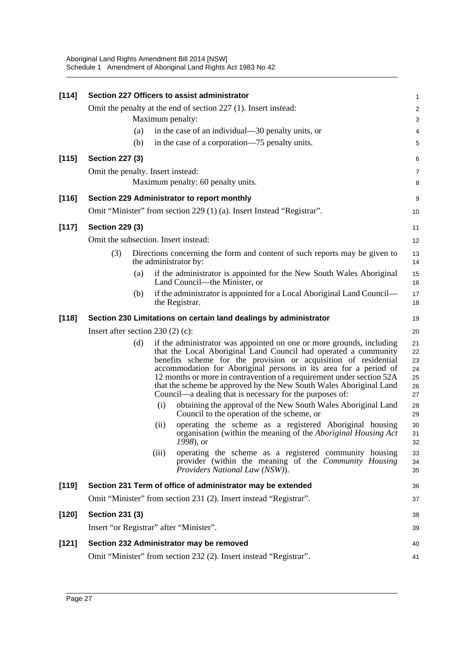Aboriginal Land Rights Amendment Bill 2014 [NSW] Schedule 1 Amendment of Aboriginal Land Rights Act 1983 No 42

| $[114]$ |                                                                   |     |       | Section 227 Officers to assist administrator                                                                                                                                                                                                                                                                                                                                                                                                                                              | 1                                      |  |  |
|---------|-------------------------------------------------------------------|-----|-------|-------------------------------------------------------------------------------------------------------------------------------------------------------------------------------------------------------------------------------------------------------------------------------------------------------------------------------------------------------------------------------------------------------------------------------------------------------------------------------------------|----------------------------------------|--|--|
|         | Omit the penalty at the end of section 227 (1). Insert instead:   |     |       |                                                                                                                                                                                                                                                                                                                                                                                                                                                                                           |                                        |  |  |
|         |                                                                   |     |       | Maximum penalty:                                                                                                                                                                                                                                                                                                                                                                                                                                                                          | 3                                      |  |  |
|         |                                                                   | (a) |       | in the case of an individual—30 penalty units, or                                                                                                                                                                                                                                                                                                                                                                                                                                         | 4                                      |  |  |
|         |                                                                   | (b) |       | in the case of a corporation—75 penalty units.                                                                                                                                                                                                                                                                                                                                                                                                                                            | 5                                      |  |  |
| $[115]$ | <b>Section 227 (3)</b>                                            |     |       |                                                                                                                                                                                                                                                                                                                                                                                                                                                                                           | 6                                      |  |  |
|         | Omit the penalty. Insert instead:                                 |     |       |                                                                                                                                                                                                                                                                                                                                                                                                                                                                                           | 7                                      |  |  |
|         |                                                                   |     |       | Maximum penalty: 60 penalty units.                                                                                                                                                                                                                                                                                                                                                                                                                                                        | 8                                      |  |  |
| [116]   |                                                                   |     |       | Section 229 Administrator to report monthly                                                                                                                                                                                                                                                                                                                                                                                                                                               | 9                                      |  |  |
|         |                                                                   |     |       | Omit "Minister" from section 229 (1) (a). Insert Instead "Registrar".                                                                                                                                                                                                                                                                                                                                                                                                                     | 10                                     |  |  |
| $[117]$ | <b>Section 229 (3)</b>                                            |     |       |                                                                                                                                                                                                                                                                                                                                                                                                                                                                                           |                                        |  |  |
|         | Omit the subsection. Insert instead:                              |     |       |                                                                                                                                                                                                                                                                                                                                                                                                                                                                                           | 12                                     |  |  |
|         | (3)                                                               |     |       | Directions concerning the form and content of such reports may be given to<br>the administrator by:                                                                                                                                                                                                                                                                                                                                                                                       | 13<br>14                               |  |  |
|         |                                                                   | (a) |       | if the administrator is appointed for the New South Wales Aboriginal<br>Land Council—the Minister, or                                                                                                                                                                                                                                                                                                                                                                                     | 15<br>16                               |  |  |
|         |                                                                   | (b) |       | if the administrator is appointed for a Local Aboriginal Land Council—<br>the Registrar.                                                                                                                                                                                                                                                                                                                                                                                                  | 17<br>18                               |  |  |
| $[118]$ | Section 230 Limitations on certain land dealings by administrator |     |       |                                                                                                                                                                                                                                                                                                                                                                                                                                                                                           |                                        |  |  |
|         | Insert after section $230(2)(c)$ :                                |     |       |                                                                                                                                                                                                                                                                                                                                                                                                                                                                                           | 20                                     |  |  |
|         |                                                                   | (d) |       | if the administrator was appointed on one or more grounds, including<br>that the Local Aboriginal Land Council had operated a community<br>benefits scheme for the provision or acquisition of residential<br>accommodation for Aboriginal persons in its area for a period of<br>12 months or more in contravention of a requirement under section 52A<br>that the scheme be approved by the New South Wales Aboriginal Land<br>Council—a dealing that is necessary for the purposes of: | 21<br>22<br>23<br>24<br>25<br>26<br>27 |  |  |
|         |                                                                   |     | (i)   | obtaining the approval of the New South Wales Aboriginal Land<br>Council to the operation of the scheme, or                                                                                                                                                                                                                                                                                                                                                                               | 28<br>29                               |  |  |
|         |                                                                   |     | (ii)  | operating the scheme as a registered Aboriginal housing<br>organisation (within the meaning of the Aboriginal Housing Act<br>1998), or                                                                                                                                                                                                                                                                                                                                                    | 30<br>31<br>32                         |  |  |
|         |                                                                   |     | (iii) | operating the scheme as a registered community housing<br>provider (within the meaning of the <i>Community Housing</i><br>Providers National Law (NSW)).                                                                                                                                                                                                                                                                                                                                  | 33<br>34<br>35                         |  |  |
| [119]   |                                                                   |     |       | Section 231 Term of office of administrator may be extended                                                                                                                                                                                                                                                                                                                                                                                                                               | 36                                     |  |  |
|         |                                                                   |     |       | Omit "Minister" from section 231 (2). Insert instead "Registrar".                                                                                                                                                                                                                                                                                                                                                                                                                         | 37                                     |  |  |
| [120]   | <b>Section 231 (3)</b>                                            |     |       |                                                                                                                                                                                                                                                                                                                                                                                                                                                                                           | 38                                     |  |  |
|         |                                                                   |     |       | Insert "or Registrar" after "Minister".                                                                                                                                                                                                                                                                                                                                                                                                                                                   | 39                                     |  |  |
| $[121]$ | Section 232 Administrator may be removed                          |     |       |                                                                                                                                                                                                                                                                                                                                                                                                                                                                                           |                                        |  |  |
|         |                                                                   |     |       | Omit "Minister" from section 232 (2). Insert instead "Registrar".                                                                                                                                                                                                                                                                                                                                                                                                                         | 40<br>41                               |  |  |
|         |                                                                   |     |       |                                                                                                                                                                                                                                                                                                                                                                                                                                                                                           |                                        |  |  |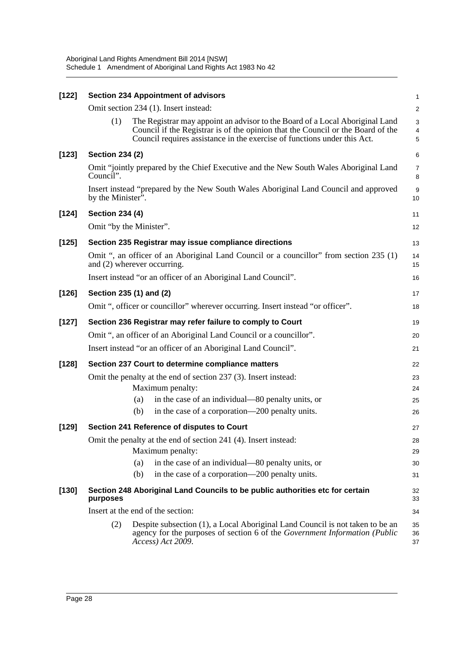Aboriginal Land Rights Amendment Bill 2014 [NSW] Schedule 1 Amendment of Aboriginal Land Rights Act 1983 No 42

| $[122]$ | <b>Section 234 Appointment of advisors</b>                                                                                                                                                                                                         |                |  |  |  |
|---------|----------------------------------------------------------------------------------------------------------------------------------------------------------------------------------------------------------------------------------------------------|----------------|--|--|--|
|         | Omit section 234 (1). Insert instead:                                                                                                                                                                                                              | $\overline{c}$ |  |  |  |
|         | (1)<br>The Registrar may appoint an advisor to the Board of a Local Aboriginal Land<br>Council if the Registrar is of the opinion that the Council or the Board of the<br>Council requires assistance in the exercise of functions under this Act. | 3<br>4<br>5    |  |  |  |
| $[123]$ | <b>Section 234 (2)</b>                                                                                                                                                                                                                             | 6              |  |  |  |
|         | Omit "jointly prepared by the Chief Executive and the New South Wales Aboriginal Land<br>Council".                                                                                                                                                 |                |  |  |  |
|         | Insert instead "prepared by the New South Wales Aboriginal Land Council and approved<br>by the Minister".                                                                                                                                          |                |  |  |  |
| $[124]$ | <b>Section 234 (4)</b>                                                                                                                                                                                                                             |                |  |  |  |
|         | Omit "by the Minister".                                                                                                                                                                                                                            | 12             |  |  |  |
| [125]   | Section 235 Registrar may issue compliance directions                                                                                                                                                                                              |                |  |  |  |
|         | Omit ", an officer of an Aboriginal Land Council or a councillor" from section 235 (1)<br>and (2) wherever occurring.                                                                                                                              |                |  |  |  |
|         | Insert instead "or an officer of an Aboriginal Land Council".                                                                                                                                                                                      |                |  |  |  |
| $[126]$ | Section 235 (1) and (2)                                                                                                                                                                                                                            |                |  |  |  |
|         | Omit ", officer or councillor" wherever occurring. Insert instead "or officer".                                                                                                                                                                    |                |  |  |  |
| $[127]$ | Section 236 Registrar may refer failure to comply to Court                                                                                                                                                                                         |                |  |  |  |
|         | Omit ", an officer of an Aboriginal Land Council or a councillor".                                                                                                                                                                                 |                |  |  |  |
|         | Insert instead "or an officer of an Aboriginal Land Council".                                                                                                                                                                                      |                |  |  |  |
| $[128]$ | Section 237 Court to determine compliance matters                                                                                                                                                                                                  |                |  |  |  |
|         | Omit the penalty at the end of section 237 (3). Insert instead:                                                                                                                                                                                    | 23             |  |  |  |
|         | Maximum penalty:                                                                                                                                                                                                                                   | 24             |  |  |  |
|         | in the case of an individual—80 penalty units, or<br>(a)                                                                                                                                                                                           | 25             |  |  |  |
|         | in the case of a corporation—200 penalty units.<br>(b)                                                                                                                                                                                             | 26             |  |  |  |
| $[129]$ | Section 241 Reference of disputes to Court                                                                                                                                                                                                         | 27             |  |  |  |
|         | Omit the penalty at the end of section 241 (4). Insert instead:                                                                                                                                                                                    |                |  |  |  |
|         | Maximum penalty:                                                                                                                                                                                                                                   | 29             |  |  |  |
|         | in the case of an individual—80 penalty units, or<br>(a)                                                                                                                                                                                           | 30             |  |  |  |
|         | (b)<br>in the case of a corporation—200 penalty units.                                                                                                                                                                                             | 31             |  |  |  |
| $[130]$ | Section 248 Aboriginal Land Councils to be public authorities etc for certain<br>purposes                                                                                                                                                          |                |  |  |  |
|         | Insert at the end of the section:                                                                                                                                                                                                                  |                |  |  |  |
|         | (2)<br>Despite subsection (1), a Local Aboriginal Land Council is not taken to be an<br>agency for the purposes of section 6 of the Government Information (Public<br>Access) Act 2009.                                                            | 35<br>36<br>37 |  |  |  |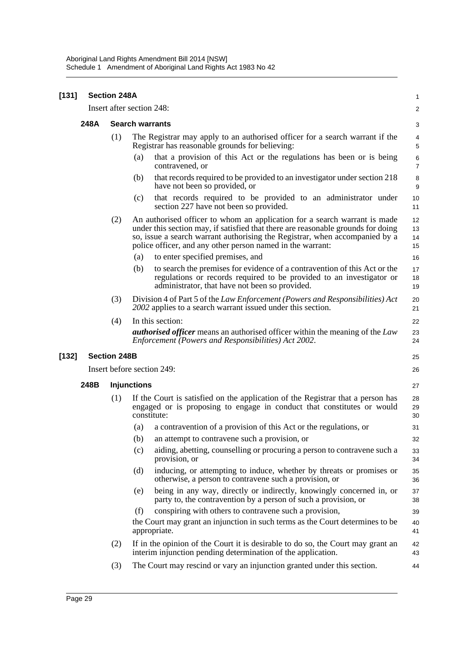| $[131]$ | <b>Section 248A</b> |                            |                                                                                                                                                                                                                                                                                                            |                      |  |
|---------|---------------------|----------------------------|------------------------------------------------------------------------------------------------------------------------------------------------------------------------------------------------------------------------------------------------------------------------------------------------------------|----------------------|--|
|         |                     | Insert after section 248:  | 2                                                                                                                                                                                                                                                                                                          |                      |  |
|         | 248A                | <b>Search warrants</b>     |                                                                                                                                                                                                                                                                                                            |                      |  |
|         |                     | (1)                        | The Registrar may apply to an authorised officer for a search warrant if the<br>Registrar has reasonable grounds for believing:                                                                                                                                                                            |                      |  |
|         |                     |                            | that a provision of this Act or the regulations has been or is being<br>(a)<br>contravened, or                                                                                                                                                                                                             | 6<br>$\overline{7}$  |  |
|         |                     |                            | that records required to be provided to an investigator under section 218<br>(b)<br>have not been so provided, or                                                                                                                                                                                          | 8<br>9               |  |
|         |                     |                            | that records required to be provided to an administrator under<br>(c)<br>section 227 have not been so provided.                                                                                                                                                                                            | 10<br>11             |  |
|         |                     | (2)                        | An authorised officer to whom an application for a search warrant is made<br>under this section may, if satisfied that there are reasonable grounds for doing<br>so, issue a search warrant authorising the Registrar, when accompanied by a<br>police officer, and any other person named in the warrant: | 12<br>13<br>14<br>15 |  |
|         |                     |                            | to enter specified premises, and<br>(a)                                                                                                                                                                                                                                                                    | 16                   |  |
|         |                     |                            | to search the premises for evidence of a contravention of this Act or the<br>(b)<br>regulations or records required to be provided to an investigator or<br>administrator, that have not been so provided.                                                                                                 | 17<br>18<br>19       |  |
|         |                     | (3)                        | Division 4 of Part 5 of the Law Enforcement (Powers and Responsibilities) Act<br>2002 applies to a search warrant issued under this section.                                                                                                                                                               | 20<br>21             |  |
|         |                     | (4)                        | In this section:                                                                                                                                                                                                                                                                                           | 22                   |  |
|         |                     |                            | <b><i>authorised officer</i></b> means an authorised officer within the meaning of the Law<br>Enforcement (Powers and Responsibilities) Act 2002.                                                                                                                                                          | 23<br>24             |  |
| $[132]$ | <b>Section 248B</b> |                            |                                                                                                                                                                                                                                                                                                            | 25                   |  |
|         |                     | Insert before section 249: |                                                                                                                                                                                                                                                                                                            | 26                   |  |
|         | 248B                |                            | <b>Injunctions</b>                                                                                                                                                                                                                                                                                         |                      |  |
|         |                     | (1)                        | If the Court is satisfied on the application of the Registrar that a person has<br>engaged or is proposing to engage in conduct that constitutes or would<br>constitute:                                                                                                                                   | 28<br>29<br>30       |  |
|         |                     |                            | a contravention of a provision of this Act or the regulations, or<br>(a)                                                                                                                                                                                                                                   | 31                   |  |
|         |                     |                            | (b) an attempt to contravene such a provision, or                                                                                                                                                                                                                                                          | 32                   |  |
|         |                     |                            | aiding, abetting, counselling or procuring a person to contravene such a<br>(c)<br>provision, or                                                                                                                                                                                                           | 33<br>34             |  |
|         |                     |                            | (d)<br>inducing, or attempting to induce, whether by threats or promises or<br>otherwise, a person to contravene such a provision, or                                                                                                                                                                      | 35<br>36             |  |
|         |                     |                            | being in any way, directly or indirectly, knowingly concerned in, or<br>(e)<br>party to, the contravention by a person of such a provision, or                                                                                                                                                             | 37<br>38             |  |
|         |                     |                            | conspiring with others to contravene such a provision,<br>(f)                                                                                                                                                                                                                                              | 39                   |  |
|         |                     |                            | the Court may grant an injunction in such terms as the Court determines to be<br>appropriate.                                                                                                                                                                                                              | 40<br>41             |  |
|         |                     | (2)                        | If in the opinion of the Court it is desirable to do so, the Court may grant an<br>interim injunction pending determination of the application.                                                                                                                                                            | 42<br>43             |  |
|         |                     | (3)                        | The Court may rescind or vary an injunction granted under this section.                                                                                                                                                                                                                                    | 44                   |  |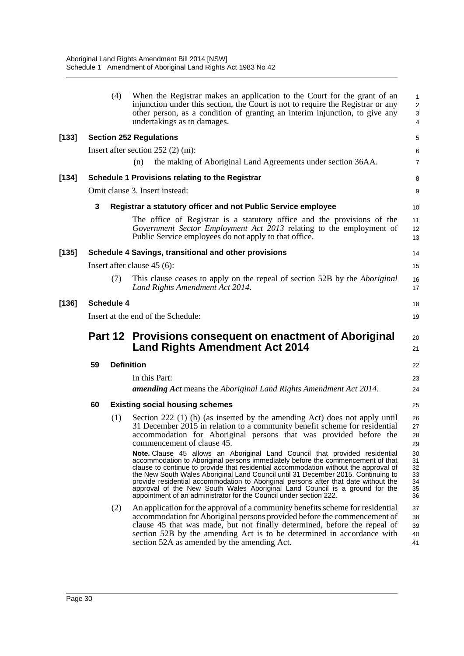|       |    | (4)               | When the Registrar makes an application to the Court for the grant of an<br>injunction under this section, the Court is not to require the Registrar or any<br>other person, as a condition of granting an interim injunction, to give any<br>undertakings as to damages.                                                                                                                                                                                                                                                                                                               | 1<br>$\overline{\mathbf{c}}$<br>3<br>4 |
|-------|----|-------------------|-----------------------------------------------------------------------------------------------------------------------------------------------------------------------------------------------------------------------------------------------------------------------------------------------------------------------------------------------------------------------------------------------------------------------------------------------------------------------------------------------------------------------------------------------------------------------------------------|----------------------------------------|
| [133] |    |                   | <b>Section 252 Regulations</b>                                                                                                                                                                                                                                                                                                                                                                                                                                                                                                                                                          | 5                                      |
|       |    |                   | Insert after section $252(2)$ (m):                                                                                                                                                                                                                                                                                                                                                                                                                                                                                                                                                      | 6                                      |
|       |    |                   | the making of Aboriginal Land Agreements under section 36AA.<br>(n)                                                                                                                                                                                                                                                                                                                                                                                                                                                                                                                     | 7                                      |
| [134] |    |                   | <b>Schedule 1 Provisions relating to the Registrar</b>                                                                                                                                                                                                                                                                                                                                                                                                                                                                                                                                  | 8                                      |
|       |    |                   | Omit clause 3. Insert instead:                                                                                                                                                                                                                                                                                                                                                                                                                                                                                                                                                          | 9                                      |
|       | 3  |                   | Registrar a statutory officer and not Public Service employee                                                                                                                                                                                                                                                                                                                                                                                                                                                                                                                           | 10                                     |
|       |    |                   | The office of Registrar is a statutory office and the provisions of the<br>Government Sector Employment Act 2013 relating to the employment of<br>Public Service employees do not apply to that office.                                                                                                                                                                                                                                                                                                                                                                                 | 11<br>12<br>13                         |
| [135] |    |                   | Schedule 4 Savings, transitional and other provisions                                                                                                                                                                                                                                                                                                                                                                                                                                                                                                                                   | 14                                     |
|       |    |                   | Insert after clause $45(6)$ :                                                                                                                                                                                                                                                                                                                                                                                                                                                                                                                                                           | 15                                     |
|       |    | (7)               | This clause ceases to apply on the repeal of section 52B by the <i>Aboriginal</i><br>Land Rights Amendment Act 2014.                                                                                                                                                                                                                                                                                                                                                                                                                                                                    | 16<br>17                               |
| [136] |    | <b>Schedule 4</b> |                                                                                                                                                                                                                                                                                                                                                                                                                                                                                                                                                                                         | 18                                     |
|       |    |                   | Insert at the end of the Schedule:                                                                                                                                                                                                                                                                                                                                                                                                                                                                                                                                                      | 19                                     |
|       |    |                   | Part 12 Provisions consequent on enactment of Aboriginal<br><b>Land Rights Amendment Act 2014</b>                                                                                                                                                                                                                                                                                                                                                                                                                                                                                       | 20<br>21                               |
|       | 59 | <b>Definition</b> |                                                                                                                                                                                                                                                                                                                                                                                                                                                                                                                                                                                         |                                        |
|       |    |                   | In this Part:                                                                                                                                                                                                                                                                                                                                                                                                                                                                                                                                                                           | 23                                     |
|       |    |                   | <b>amending Act</b> means the Aboriginal Land Rights Amendment Act 2014.                                                                                                                                                                                                                                                                                                                                                                                                                                                                                                                | 24                                     |
|       | 60 |                   | <b>Existing social housing schemes</b>                                                                                                                                                                                                                                                                                                                                                                                                                                                                                                                                                  | 25                                     |
|       |    | (1)               | Section 222 (1) (h) (as inserted by the amending Act) does not apply until<br>31 December 2015 in relation to a community benefit scheme for residential<br>accommodation for Aboriginal persons that was provided before the<br>commencement of clause 45.                                                                                                                                                                                                                                                                                                                             | 26<br>27<br>28<br>29                   |
|       |    |                   | Note. Clause 45 allows an Aboriginal Land Council that provided residential<br>accommodation to Aboriginal persons immediately before the commencement of that<br>clause to continue to provide that residential accommodation without the approval of<br>the New South Wales Aboriginal Land Council until 31 December 2015. Continuing to<br>provide residential accommodation to Aboriginal persons after that date without the<br>approval of the New South Wales Aboriginal Land Council is a ground for the<br>appointment of an administrator for the Council under section 222. | 30<br>31<br>32<br>33<br>34<br>35<br>36 |
|       |    | (2)               | An application for the approval of a community benefits scheme for residential<br>accommodation for Aboriginal persons provided before the commencement of<br>clause 45 that was made, but not finally determined, before the repeal of<br>section 52B by the amending Act is to be determined in accordance with<br>section 52A as amended by the amending Act.                                                                                                                                                                                                                        | 37<br>38<br>39<br>40<br>41             |